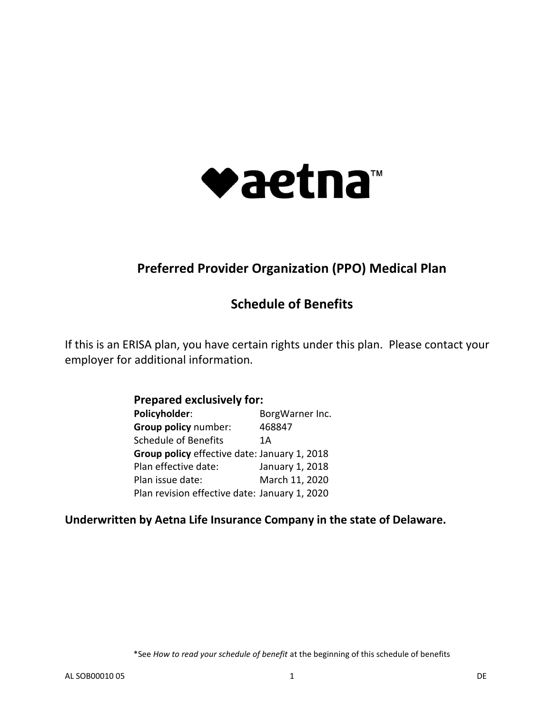

# **Preferred Provider Organization (PPO) Medical Plan**

## **Schedule of Benefits**

If this is an ERISA plan, you have certain rights under this plan. Please contact your employer for additional information.

| <b>Prepared exclusively for:</b>              |                 |  |  |
|-----------------------------------------------|-----------------|--|--|
| Policyholder:                                 | BorgWarner Inc. |  |  |
| Group policy number:                          | 468847          |  |  |
| Schedule of Benefits                          | 1Α              |  |  |
| Group policy effective date: January 1, 2018  |                 |  |  |
| Plan effective date:                          | January 1, 2018 |  |  |
| Plan issue date:                              | March 11, 2020  |  |  |
| Plan revision effective date: January 1, 2020 |                 |  |  |

## **Underwritten by Aetna Life Insurance Company in the state of Delaware.**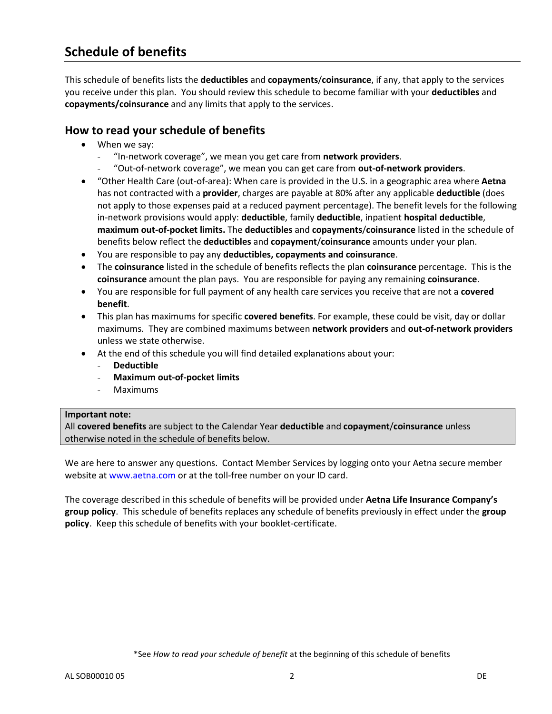## **Schedule of benefits**

This schedule of benefits lists the **deductibles** and **copayments**/**coinsurance**, if any, that apply to the services you receive under this plan. You should review this schedule to become familiar with your **deductibles** and **copayments/coinsurance** and any limits that apply to the services.

### **How to read your schedule of benefits**

- When we say:
	- "In-network coverage", we mean you get care from **network providers**.
	- "Out-of-network coverage", we mean you can get care from **out-of-network providers**.
- "Other Health Care (out-of-area): When care is provided in the U.S. in a geographic area where **Aetna**  has not contracted with a **provider**, charges are payable at 80% after any applicable **deductible** (does not apply to those expenses paid at a reduced payment percentage). The benefit levels for the following in-network provisions would apply: **deductible**, family **deductible**, inpatient **hospital deductible**, **maximum out-of-pocket limits.** The **deductibles** and **copayments**/**coinsurance** listed in the schedule of benefits below reflect the **deductibles** and **copayment**/**coinsurance** amounts under your plan.
- You are responsible to pay any **deductibles, copayments and coinsurance**.
- The **coinsurance** listed in the schedule of benefits reflects the plan **coinsurance** percentage. This is the **coinsurance** amount the plan pays. You are responsible for paying any remaining **coinsurance**.
- You are responsible for full payment of any health care services you receive that are not a **covered benefit**.
- This plan has maximums for specific **covered benefits**. For example, these could be visit, day or dollar maximums. They are combined maximums between **network providers** and **out-of-network providers** unless we state otherwise.
- At the end of this schedule you will find detailed explanations about your:
	- **Deductible**
	- **Maximum out-of-pocket limits**
	- Maximums

#### **Important note:**

All **covered benefits** are subject to the Calendar Year **deductible** and **copayment**/**coinsurance** unless otherwise noted in the schedule of benefits below.

We are here to answer any questions. Contact Member Services by logging onto your Aetna secure member website at [www.aetna.com](https://www.aetna.com/) or at the toll-free number on your ID card.

The coverage described in this schedule of benefits will be provided under **Aetna Life Insurance Company's group policy**. This schedule of benefits replaces any schedule of benefits previously in effect under the **group policy**. Keep this schedule of benefits with your booklet-certificate.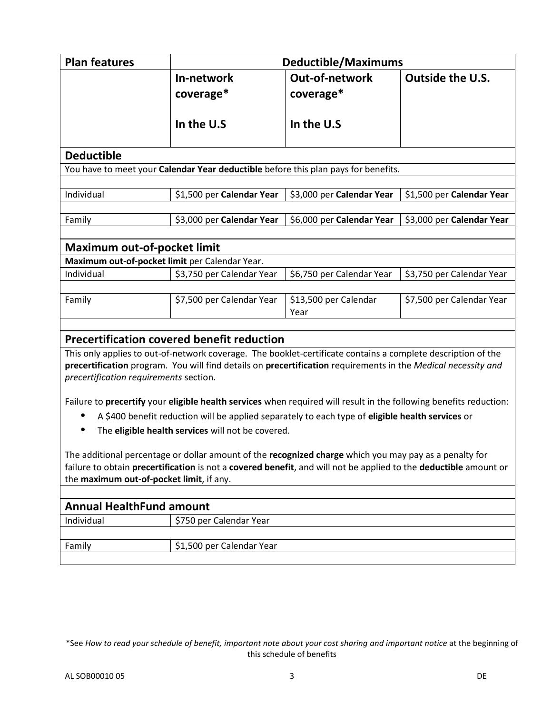| <b>Plan features</b>                                                                                             | <b>Deductible/Maximums</b>                                                                                                                                                                                                    |                           |                           |
|------------------------------------------------------------------------------------------------------------------|-------------------------------------------------------------------------------------------------------------------------------------------------------------------------------------------------------------------------------|---------------------------|---------------------------|
|                                                                                                                  | In-network                                                                                                                                                                                                                    | <b>Out-of-network</b>     | <b>Outside the U.S.</b>   |
|                                                                                                                  | coverage*                                                                                                                                                                                                                     | coverage*                 |                           |
|                                                                                                                  |                                                                                                                                                                                                                               |                           |                           |
|                                                                                                                  | In the U.S                                                                                                                                                                                                                    | In the U.S                |                           |
| <b>Deductible</b>                                                                                                |                                                                                                                                                                                                                               |                           |                           |
|                                                                                                                  | You have to meet your Calendar Year deductible before this plan pays for benefits.                                                                                                                                            |                           |                           |
|                                                                                                                  |                                                                                                                                                                                                                               |                           |                           |
| Individual                                                                                                       | \$1,500 per Calendar Year                                                                                                                                                                                                     | \$3,000 per Calendar Year | \$1,500 per Calendar Year |
| Family                                                                                                           | \$3,000 per Calendar Year                                                                                                                                                                                                     | \$6,000 per Calendar Year | \$3,000 per Calendar Year |
|                                                                                                                  |                                                                                                                                                                                                                               |                           |                           |
| <b>Maximum out-of-pocket limit</b>                                                                               |                                                                                                                                                                                                                               |                           |                           |
| Maximum out-of-pocket limit per Calendar Year.                                                                   |                                                                                                                                                                                                                               |                           |                           |
| Individual                                                                                                       | \$3,750 per Calendar Year                                                                                                                                                                                                     | \$6,750 per Calendar Year | \$3,750 per Calendar Year |
| Family                                                                                                           | \$7,500 per Calendar Year                                                                                                                                                                                                     | \$13,500 per Calendar     | \$7,500 per Calendar Year |
|                                                                                                                  |                                                                                                                                                                                                                               | Year                      |                           |
|                                                                                                                  |                                                                                                                                                                                                                               |                           |                           |
|                                                                                                                  | <b>Precertification covered benefit reduction</b>                                                                                                                                                                             |                           |                           |
|                                                                                                                  | This only applies to out-of-network coverage. The booklet-certificate contains a complete description of the<br>precertification program. You will find details on precertification requirements in the Medical necessity and |                           |                           |
| precertification requirements section.                                                                           |                                                                                                                                                                                                                               |                           |                           |
|                                                                                                                  |                                                                                                                                                                                                                               |                           |                           |
|                                                                                                                  | Failure to precertify your eligible health services when required will result in the following benefits reduction:                                                                                                            |                           |                           |
|                                                                                                                  | A \$400 benefit reduction will be applied separately to each type of eligible health services or                                                                                                                              |                           |                           |
| The eligible health services will not be covered.                                                                |                                                                                                                                                                                                                               |                           |                           |
|                                                                                                                  | The additional percentage or dollar amount of the recognized charge which you may pay as a penalty for                                                                                                                        |                           |                           |
| failure to obtain precertification is not a covered benefit, and will not be applied to the deductible amount or |                                                                                                                                                                                                                               |                           |                           |
| the maximum out-of-pocket limit, if any.                                                                         |                                                                                                                                                                                                                               |                           |                           |
|                                                                                                                  |                                                                                                                                                                                                                               |                           |                           |
| <b>Annual HealthFund amount</b>                                                                                  |                                                                                                                                                                                                                               |                           |                           |
| Individual                                                                                                       | \$750 per Calendar Year                                                                                                                                                                                                       |                           |                           |
| Family                                                                                                           | \$1,500 per Calendar Year                                                                                                                                                                                                     |                           |                           |

\*See *How to read your schedule of benefit, important note about your cost sharing and important notice* at the beginning of this schedule of benefits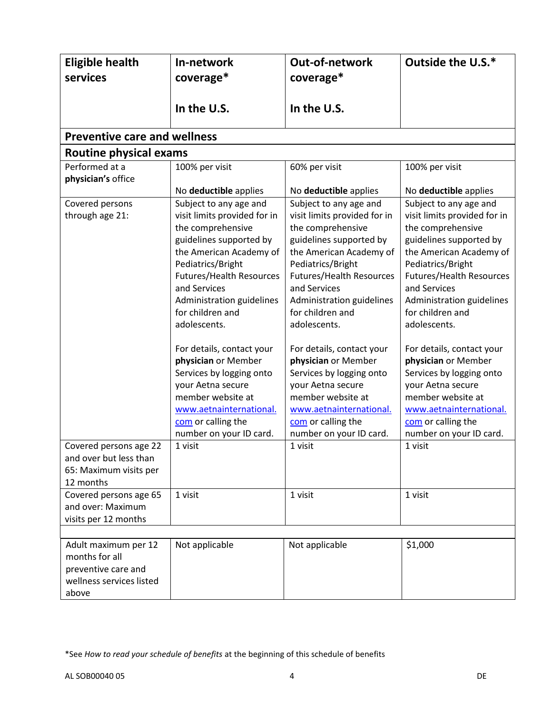| <b>Eligible health</b><br>services                                                                 | In-network<br>coverage*                                                                                                                                                                                                                                                                                                                                                                                                                                                                                   | <b>Out-of-network</b><br>coverage*                                                                                                                                                                                                                                                                                                                                                                                                                                                                        | Outside the U.S.*                                                                                                                                                                                                                                                                                                                                                                                                                                                                                         |
|----------------------------------------------------------------------------------------------------|-----------------------------------------------------------------------------------------------------------------------------------------------------------------------------------------------------------------------------------------------------------------------------------------------------------------------------------------------------------------------------------------------------------------------------------------------------------------------------------------------------------|-----------------------------------------------------------------------------------------------------------------------------------------------------------------------------------------------------------------------------------------------------------------------------------------------------------------------------------------------------------------------------------------------------------------------------------------------------------------------------------------------------------|-----------------------------------------------------------------------------------------------------------------------------------------------------------------------------------------------------------------------------------------------------------------------------------------------------------------------------------------------------------------------------------------------------------------------------------------------------------------------------------------------------------|
|                                                                                                    | In the U.S.                                                                                                                                                                                                                                                                                                                                                                                                                                                                                               | In the U.S.                                                                                                                                                                                                                                                                                                                                                                                                                                                                                               |                                                                                                                                                                                                                                                                                                                                                                                                                                                                                                           |
| <b>Preventive care and wellness</b>                                                                |                                                                                                                                                                                                                                                                                                                                                                                                                                                                                                           |                                                                                                                                                                                                                                                                                                                                                                                                                                                                                                           |                                                                                                                                                                                                                                                                                                                                                                                                                                                                                                           |
| Routine physical exams                                                                             |                                                                                                                                                                                                                                                                                                                                                                                                                                                                                                           |                                                                                                                                                                                                                                                                                                                                                                                                                                                                                                           |                                                                                                                                                                                                                                                                                                                                                                                                                                                                                                           |
| Performed at a<br>physician's office                                                               | 100% per visit                                                                                                                                                                                                                                                                                                                                                                                                                                                                                            | 60% per visit                                                                                                                                                                                                                                                                                                                                                                                                                                                                                             | 100% per visit                                                                                                                                                                                                                                                                                                                                                                                                                                                                                            |
| Covered persons<br>through age 21:                                                                 | No deductible applies<br>Subject to any age and<br>visit limits provided for in<br>the comprehensive<br>guidelines supported by<br>the American Academy of<br>Pediatrics/Bright<br><b>Futures/Health Resources</b><br>and Services<br>Administration guidelines<br>for children and<br>adolescents.<br>For details, contact your<br>physician or Member<br>Services by logging onto<br>your Aetna secure<br>member website at<br>www.aetnainternational.<br>com or calling the<br>number on your ID card. | No deductible applies<br>Subject to any age and<br>visit limits provided for in<br>the comprehensive<br>guidelines supported by<br>the American Academy of<br>Pediatrics/Bright<br><b>Futures/Health Resources</b><br>and Services<br>Administration guidelines<br>for children and<br>adolescents.<br>For details, contact your<br>physician or Member<br>Services by logging onto<br>your Aetna secure<br>member website at<br>www.aetnainternational.<br>com or calling the<br>number on your ID card. | No deductible applies<br>Subject to any age and<br>visit limits provided for in<br>the comprehensive<br>guidelines supported by<br>the American Academy of<br>Pediatrics/Bright<br><b>Futures/Health Resources</b><br>and Services<br>Administration guidelines<br>for children and<br>adolescents.<br>For details, contact your<br>physician or Member<br>Services by logging onto<br>your Aetna secure<br>member website at<br>www.aetnainternational.<br>com or calling the<br>number on your ID card. |
| Covered persons age 22<br>and over but less than<br>65: Maximum visits per<br>12 months            | 1 visit                                                                                                                                                                                                                                                                                                                                                                                                                                                                                                   | 1 visit                                                                                                                                                                                                                                                                                                                                                                                                                                                                                                   | 1 visit                                                                                                                                                                                                                                                                                                                                                                                                                                                                                                   |
| Covered persons age 65<br>and over: Maximum<br>visits per 12 months                                | 1 visit                                                                                                                                                                                                                                                                                                                                                                                                                                                                                                   | 1 visit                                                                                                                                                                                                                                                                                                                                                                                                                                                                                                   | 1 visit                                                                                                                                                                                                                                                                                                                                                                                                                                                                                                   |
|                                                                                                    |                                                                                                                                                                                                                                                                                                                                                                                                                                                                                                           |                                                                                                                                                                                                                                                                                                                                                                                                                                                                                                           |                                                                                                                                                                                                                                                                                                                                                                                                                                                                                                           |
| Adult maximum per 12<br>months for all<br>preventive care and<br>wellness services listed<br>above | Not applicable                                                                                                                                                                                                                                                                                                                                                                                                                                                                                            | Not applicable                                                                                                                                                                                                                                                                                                                                                                                                                                                                                            | \$1,000                                                                                                                                                                                                                                                                                                                                                                                                                                                                                                   |

<sup>\*</sup>See *How to read your schedule of benefits* at the beginning of this schedule of benefits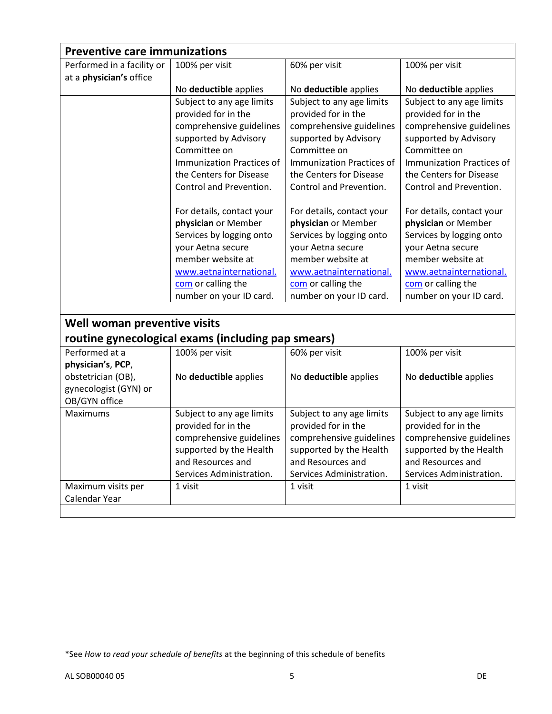| Performed in a facility or<br>100% per visit<br>60% per visit<br>100% per visit<br>at a physician's office<br>No deductible applies<br>No deductible applies<br>No deductible applies<br>Subject to any age limits<br>Subject to any age limits<br>Subject to any age limits<br>provided for in the<br>provided for in the<br>provided for in the<br>comprehensive guidelines<br>comprehensive guidelines<br>comprehensive guidelines<br>supported by Advisory<br>supported by Advisory<br>supported by Advisory<br>Committee on<br>Committee on<br>Committee on<br><b>Immunization Practices of</b><br><b>Immunization Practices of</b><br>Immunization Practices of<br>the Centers for Disease<br>the Centers for Disease<br>the Centers for Disease<br>Control and Prevention.<br>Control and Prevention.<br>Control and Prevention.<br>For details, contact your<br>For details, contact your<br>For details, contact your<br>physician or Member<br>physician or Member<br>physician or Member<br>Services by logging onto<br>Services by logging onto<br>Services by logging onto<br>your Aetna secure<br>your Aetna secure<br>your Aetna secure<br>member website at<br>member website at<br>member website at<br>www.aetnainternational.<br>www.aetnainternational.<br>www.aetnainternational.<br>com or calling the<br>com or calling the<br>com or calling the<br>number on your ID card.<br>number on your ID card.<br>number on your ID card.<br>Well woman preventive visits<br>routine gynecological exams (including pap smears)<br>Performed at a<br>100% per visit<br>60% per visit<br>100% per visit<br>physician's, PCP,<br>obstetrician (OB),<br>No deductible applies<br>No deductible applies<br>No deductible applies<br>gynecologist (GYN) or<br>OB/GYN office<br>Maximums<br>Subject to any age limits<br>Subject to any age limits<br>Subject to any age limits<br>provided for in the<br>provided for in the<br>provided for in the<br>comprehensive guidelines<br>comprehensive guidelines<br>comprehensive guidelines<br>supported by the Health<br>supported by the Health<br>supported by the Health<br>and Resources and<br>and Resources and<br>and Resources and<br>Services Administration.<br>Services Administration.<br>Services Administration.<br>1 visit<br>1 visit<br>1 visit<br>Maximum visits per<br>Calendar Year | <b>Preventive care immunizations</b> |  |  |  |
|----------------------------------------------------------------------------------------------------------------------------------------------------------------------------------------------------------------------------------------------------------------------------------------------------------------------------------------------------------------------------------------------------------------------------------------------------------------------------------------------------------------------------------------------------------------------------------------------------------------------------------------------------------------------------------------------------------------------------------------------------------------------------------------------------------------------------------------------------------------------------------------------------------------------------------------------------------------------------------------------------------------------------------------------------------------------------------------------------------------------------------------------------------------------------------------------------------------------------------------------------------------------------------------------------------------------------------------------------------------------------------------------------------------------------------------------------------------------------------------------------------------------------------------------------------------------------------------------------------------------------------------------------------------------------------------------------------------------------------------------------------------------------------------------------------------------------------------------------------------------------------------------------------------------------------------------------------------------------------------------------------------------------------------------------------------------------------------------------------------------------------------------------------------------------------------------------------------------------------------------------------------------------------------------------------------------------------------------------------------|--------------------------------------|--|--|--|
|                                                                                                                                                                                                                                                                                                                                                                                                                                                                                                                                                                                                                                                                                                                                                                                                                                                                                                                                                                                                                                                                                                                                                                                                                                                                                                                                                                                                                                                                                                                                                                                                                                                                                                                                                                                                                                                                                                                                                                                                                                                                                                                                                                                                                                                                                                                                                                |                                      |  |  |  |
|                                                                                                                                                                                                                                                                                                                                                                                                                                                                                                                                                                                                                                                                                                                                                                                                                                                                                                                                                                                                                                                                                                                                                                                                                                                                                                                                                                                                                                                                                                                                                                                                                                                                                                                                                                                                                                                                                                                                                                                                                                                                                                                                                                                                                                                                                                                                                                |                                      |  |  |  |
|                                                                                                                                                                                                                                                                                                                                                                                                                                                                                                                                                                                                                                                                                                                                                                                                                                                                                                                                                                                                                                                                                                                                                                                                                                                                                                                                                                                                                                                                                                                                                                                                                                                                                                                                                                                                                                                                                                                                                                                                                                                                                                                                                                                                                                                                                                                                                                |                                      |  |  |  |
|                                                                                                                                                                                                                                                                                                                                                                                                                                                                                                                                                                                                                                                                                                                                                                                                                                                                                                                                                                                                                                                                                                                                                                                                                                                                                                                                                                                                                                                                                                                                                                                                                                                                                                                                                                                                                                                                                                                                                                                                                                                                                                                                                                                                                                                                                                                                                                |                                      |  |  |  |
|                                                                                                                                                                                                                                                                                                                                                                                                                                                                                                                                                                                                                                                                                                                                                                                                                                                                                                                                                                                                                                                                                                                                                                                                                                                                                                                                                                                                                                                                                                                                                                                                                                                                                                                                                                                                                                                                                                                                                                                                                                                                                                                                                                                                                                                                                                                                                                |                                      |  |  |  |
|                                                                                                                                                                                                                                                                                                                                                                                                                                                                                                                                                                                                                                                                                                                                                                                                                                                                                                                                                                                                                                                                                                                                                                                                                                                                                                                                                                                                                                                                                                                                                                                                                                                                                                                                                                                                                                                                                                                                                                                                                                                                                                                                                                                                                                                                                                                                                                |                                      |  |  |  |
|                                                                                                                                                                                                                                                                                                                                                                                                                                                                                                                                                                                                                                                                                                                                                                                                                                                                                                                                                                                                                                                                                                                                                                                                                                                                                                                                                                                                                                                                                                                                                                                                                                                                                                                                                                                                                                                                                                                                                                                                                                                                                                                                                                                                                                                                                                                                                                |                                      |  |  |  |
|                                                                                                                                                                                                                                                                                                                                                                                                                                                                                                                                                                                                                                                                                                                                                                                                                                                                                                                                                                                                                                                                                                                                                                                                                                                                                                                                                                                                                                                                                                                                                                                                                                                                                                                                                                                                                                                                                                                                                                                                                                                                                                                                                                                                                                                                                                                                                                |                                      |  |  |  |
|                                                                                                                                                                                                                                                                                                                                                                                                                                                                                                                                                                                                                                                                                                                                                                                                                                                                                                                                                                                                                                                                                                                                                                                                                                                                                                                                                                                                                                                                                                                                                                                                                                                                                                                                                                                                                                                                                                                                                                                                                                                                                                                                                                                                                                                                                                                                                                |                                      |  |  |  |
|                                                                                                                                                                                                                                                                                                                                                                                                                                                                                                                                                                                                                                                                                                                                                                                                                                                                                                                                                                                                                                                                                                                                                                                                                                                                                                                                                                                                                                                                                                                                                                                                                                                                                                                                                                                                                                                                                                                                                                                                                                                                                                                                                                                                                                                                                                                                                                |                                      |  |  |  |
|                                                                                                                                                                                                                                                                                                                                                                                                                                                                                                                                                                                                                                                                                                                                                                                                                                                                                                                                                                                                                                                                                                                                                                                                                                                                                                                                                                                                                                                                                                                                                                                                                                                                                                                                                                                                                                                                                                                                                                                                                                                                                                                                                                                                                                                                                                                                                                |                                      |  |  |  |
|                                                                                                                                                                                                                                                                                                                                                                                                                                                                                                                                                                                                                                                                                                                                                                                                                                                                                                                                                                                                                                                                                                                                                                                                                                                                                                                                                                                                                                                                                                                                                                                                                                                                                                                                                                                                                                                                                                                                                                                                                                                                                                                                                                                                                                                                                                                                                                |                                      |  |  |  |
|                                                                                                                                                                                                                                                                                                                                                                                                                                                                                                                                                                                                                                                                                                                                                                                                                                                                                                                                                                                                                                                                                                                                                                                                                                                                                                                                                                                                                                                                                                                                                                                                                                                                                                                                                                                                                                                                                                                                                                                                                                                                                                                                                                                                                                                                                                                                                                |                                      |  |  |  |
|                                                                                                                                                                                                                                                                                                                                                                                                                                                                                                                                                                                                                                                                                                                                                                                                                                                                                                                                                                                                                                                                                                                                                                                                                                                                                                                                                                                                                                                                                                                                                                                                                                                                                                                                                                                                                                                                                                                                                                                                                                                                                                                                                                                                                                                                                                                                                                |                                      |  |  |  |
|                                                                                                                                                                                                                                                                                                                                                                                                                                                                                                                                                                                                                                                                                                                                                                                                                                                                                                                                                                                                                                                                                                                                                                                                                                                                                                                                                                                                                                                                                                                                                                                                                                                                                                                                                                                                                                                                                                                                                                                                                                                                                                                                                                                                                                                                                                                                                                |                                      |  |  |  |
|                                                                                                                                                                                                                                                                                                                                                                                                                                                                                                                                                                                                                                                                                                                                                                                                                                                                                                                                                                                                                                                                                                                                                                                                                                                                                                                                                                                                                                                                                                                                                                                                                                                                                                                                                                                                                                                                                                                                                                                                                                                                                                                                                                                                                                                                                                                                                                |                                      |  |  |  |
|                                                                                                                                                                                                                                                                                                                                                                                                                                                                                                                                                                                                                                                                                                                                                                                                                                                                                                                                                                                                                                                                                                                                                                                                                                                                                                                                                                                                                                                                                                                                                                                                                                                                                                                                                                                                                                                                                                                                                                                                                                                                                                                                                                                                                                                                                                                                                                |                                      |  |  |  |
|                                                                                                                                                                                                                                                                                                                                                                                                                                                                                                                                                                                                                                                                                                                                                                                                                                                                                                                                                                                                                                                                                                                                                                                                                                                                                                                                                                                                                                                                                                                                                                                                                                                                                                                                                                                                                                                                                                                                                                                                                                                                                                                                                                                                                                                                                                                                                                |                                      |  |  |  |
|                                                                                                                                                                                                                                                                                                                                                                                                                                                                                                                                                                                                                                                                                                                                                                                                                                                                                                                                                                                                                                                                                                                                                                                                                                                                                                                                                                                                                                                                                                                                                                                                                                                                                                                                                                                                                                                                                                                                                                                                                                                                                                                                                                                                                                                                                                                                                                |                                      |  |  |  |
|                                                                                                                                                                                                                                                                                                                                                                                                                                                                                                                                                                                                                                                                                                                                                                                                                                                                                                                                                                                                                                                                                                                                                                                                                                                                                                                                                                                                                                                                                                                                                                                                                                                                                                                                                                                                                                                                                                                                                                                                                                                                                                                                                                                                                                                                                                                                                                |                                      |  |  |  |
|                                                                                                                                                                                                                                                                                                                                                                                                                                                                                                                                                                                                                                                                                                                                                                                                                                                                                                                                                                                                                                                                                                                                                                                                                                                                                                                                                                                                                                                                                                                                                                                                                                                                                                                                                                                                                                                                                                                                                                                                                                                                                                                                                                                                                                                                                                                                                                |                                      |  |  |  |
|                                                                                                                                                                                                                                                                                                                                                                                                                                                                                                                                                                                                                                                                                                                                                                                                                                                                                                                                                                                                                                                                                                                                                                                                                                                                                                                                                                                                                                                                                                                                                                                                                                                                                                                                                                                                                                                                                                                                                                                                                                                                                                                                                                                                                                                                                                                                                                |                                      |  |  |  |
|                                                                                                                                                                                                                                                                                                                                                                                                                                                                                                                                                                                                                                                                                                                                                                                                                                                                                                                                                                                                                                                                                                                                                                                                                                                                                                                                                                                                                                                                                                                                                                                                                                                                                                                                                                                                                                                                                                                                                                                                                                                                                                                                                                                                                                                                                                                                                                |                                      |  |  |  |
|                                                                                                                                                                                                                                                                                                                                                                                                                                                                                                                                                                                                                                                                                                                                                                                                                                                                                                                                                                                                                                                                                                                                                                                                                                                                                                                                                                                                                                                                                                                                                                                                                                                                                                                                                                                                                                                                                                                                                                                                                                                                                                                                                                                                                                                                                                                                                                |                                      |  |  |  |
|                                                                                                                                                                                                                                                                                                                                                                                                                                                                                                                                                                                                                                                                                                                                                                                                                                                                                                                                                                                                                                                                                                                                                                                                                                                                                                                                                                                                                                                                                                                                                                                                                                                                                                                                                                                                                                                                                                                                                                                                                                                                                                                                                                                                                                                                                                                                                                |                                      |  |  |  |
|                                                                                                                                                                                                                                                                                                                                                                                                                                                                                                                                                                                                                                                                                                                                                                                                                                                                                                                                                                                                                                                                                                                                                                                                                                                                                                                                                                                                                                                                                                                                                                                                                                                                                                                                                                                                                                                                                                                                                                                                                                                                                                                                                                                                                                                                                                                                                                |                                      |  |  |  |
|                                                                                                                                                                                                                                                                                                                                                                                                                                                                                                                                                                                                                                                                                                                                                                                                                                                                                                                                                                                                                                                                                                                                                                                                                                                                                                                                                                                                                                                                                                                                                                                                                                                                                                                                                                                                                                                                                                                                                                                                                                                                                                                                                                                                                                                                                                                                                                |                                      |  |  |  |
|                                                                                                                                                                                                                                                                                                                                                                                                                                                                                                                                                                                                                                                                                                                                                                                                                                                                                                                                                                                                                                                                                                                                                                                                                                                                                                                                                                                                                                                                                                                                                                                                                                                                                                                                                                                                                                                                                                                                                                                                                                                                                                                                                                                                                                                                                                                                                                |                                      |  |  |  |
|                                                                                                                                                                                                                                                                                                                                                                                                                                                                                                                                                                                                                                                                                                                                                                                                                                                                                                                                                                                                                                                                                                                                                                                                                                                                                                                                                                                                                                                                                                                                                                                                                                                                                                                                                                                                                                                                                                                                                                                                                                                                                                                                                                                                                                                                                                                                                                |                                      |  |  |  |
|                                                                                                                                                                                                                                                                                                                                                                                                                                                                                                                                                                                                                                                                                                                                                                                                                                                                                                                                                                                                                                                                                                                                                                                                                                                                                                                                                                                                                                                                                                                                                                                                                                                                                                                                                                                                                                                                                                                                                                                                                                                                                                                                                                                                                                                                                                                                                                |                                      |  |  |  |
|                                                                                                                                                                                                                                                                                                                                                                                                                                                                                                                                                                                                                                                                                                                                                                                                                                                                                                                                                                                                                                                                                                                                                                                                                                                                                                                                                                                                                                                                                                                                                                                                                                                                                                                                                                                                                                                                                                                                                                                                                                                                                                                                                                                                                                                                                                                                                                |                                      |  |  |  |
|                                                                                                                                                                                                                                                                                                                                                                                                                                                                                                                                                                                                                                                                                                                                                                                                                                                                                                                                                                                                                                                                                                                                                                                                                                                                                                                                                                                                                                                                                                                                                                                                                                                                                                                                                                                                                                                                                                                                                                                                                                                                                                                                                                                                                                                                                                                                                                |                                      |  |  |  |
|                                                                                                                                                                                                                                                                                                                                                                                                                                                                                                                                                                                                                                                                                                                                                                                                                                                                                                                                                                                                                                                                                                                                                                                                                                                                                                                                                                                                                                                                                                                                                                                                                                                                                                                                                                                                                                                                                                                                                                                                                                                                                                                                                                                                                                                                                                                                                                |                                      |  |  |  |
|                                                                                                                                                                                                                                                                                                                                                                                                                                                                                                                                                                                                                                                                                                                                                                                                                                                                                                                                                                                                                                                                                                                                                                                                                                                                                                                                                                                                                                                                                                                                                                                                                                                                                                                                                                                                                                                                                                                                                                                                                                                                                                                                                                                                                                                                                                                                                                |                                      |  |  |  |
|                                                                                                                                                                                                                                                                                                                                                                                                                                                                                                                                                                                                                                                                                                                                                                                                                                                                                                                                                                                                                                                                                                                                                                                                                                                                                                                                                                                                                                                                                                                                                                                                                                                                                                                                                                                                                                                                                                                                                                                                                                                                                                                                                                                                                                                                                                                                                                |                                      |  |  |  |

<sup>\*</sup>See *How to read your schedule of benefits* at the beginning of this schedule of benefits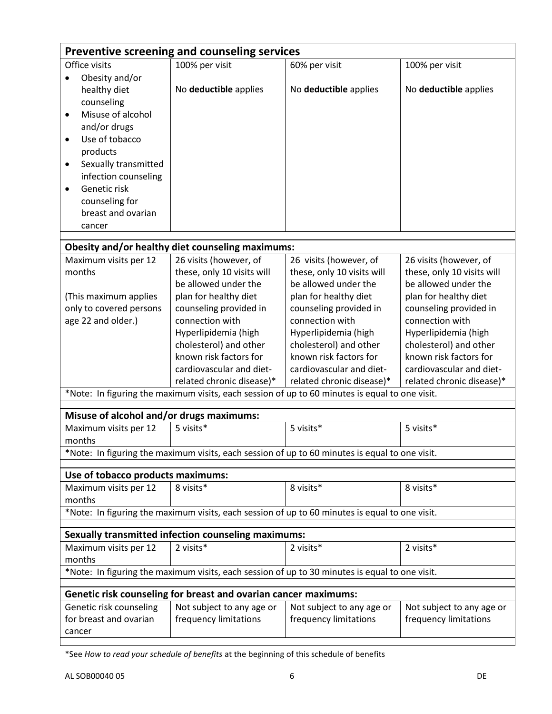|                                          | Preventive screening and counseling services                    |                                                                                                |                            |
|------------------------------------------|-----------------------------------------------------------------|------------------------------------------------------------------------------------------------|----------------------------|
| Office visits                            | 100% per visit                                                  | 60% per visit                                                                                  | 100% per visit             |
| Obesity and/or                           |                                                                 |                                                                                                |                            |
| healthy diet                             | No deductible applies                                           | No deductible applies                                                                          | No deductible applies      |
| counseling                               |                                                                 |                                                                                                |                            |
| Misuse of alcohol<br>$\bullet$           |                                                                 |                                                                                                |                            |
| and/or drugs                             |                                                                 |                                                                                                |                            |
| Use of tobacco<br>$\bullet$              |                                                                 |                                                                                                |                            |
| products                                 |                                                                 |                                                                                                |                            |
| Sexually transmitted<br>$\bullet$        |                                                                 |                                                                                                |                            |
| infection counseling                     |                                                                 |                                                                                                |                            |
| Genetic risk<br>$\bullet$                |                                                                 |                                                                                                |                            |
| counseling for                           |                                                                 |                                                                                                |                            |
| breast and ovarian                       |                                                                 |                                                                                                |                            |
| cancer                                   |                                                                 |                                                                                                |                            |
|                                          | Obesity and/or healthy diet counseling maximums:                |                                                                                                |                            |
| Maximum visits per 12                    | 26 visits (however, of                                          | 26 visits (however, of                                                                         | 26 visits (however, of     |
| months                                   | these, only 10 visits will                                      | these, only 10 visits will                                                                     | these, only 10 visits will |
|                                          | be allowed under the                                            | be allowed under the                                                                           | be allowed under the       |
| (This maximum applies                    | plan for healthy diet                                           | plan for healthy diet                                                                          | plan for healthy diet      |
| only to covered persons                  | counseling provided in                                          | counseling provided in                                                                         | counseling provided in     |
| age 22 and older.)                       | connection with                                                 | connection with                                                                                | connection with            |
|                                          | Hyperlipidemia (high                                            | Hyperlipidemia (high                                                                           | Hyperlipidemia (high       |
|                                          | cholesterol) and other                                          | cholesterol) and other                                                                         | cholesterol) and other     |
|                                          | known risk factors for                                          | known risk factors for                                                                         | known risk factors for     |
|                                          | cardiovascular and diet-                                        | cardiovascular and diet-                                                                       | cardiovascular and diet-   |
|                                          | related chronic disease)*                                       | related chronic disease)*                                                                      | related chronic disease)*  |
|                                          |                                                                 | *Note: In figuring the maximum visits, each session of up to 60 minutes is equal to one visit. |                            |
| Misuse of alcohol and/or drugs maximums: |                                                                 |                                                                                                |                            |
| Maximum visits per 12                    | 5 visits*                                                       | 5 visits*                                                                                      | 5 visits*                  |
| months                                   |                                                                 |                                                                                                |                            |
|                                          |                                                                 | *Note: In figuring the maximum visits, each session of up to 60 minutes is equal to one visit. |                            |
| Use of tobacco products maximums:        |                                                                 |                                                                                                |                            |
| Maximum visits per 12                    | 8 visits*                                                       | 8 visits*                                                                                      | 8 visits*                  |
| months                                   |                                                                 |                                                                                                |                            |
|                                          |                                                                 | *Note: In figuring the maximum visits, each session of up to 60 minutes is equal to one visit. |                            |
|                                          |                                                                 |                                                                                                |                            |
|                                          | <b>Sexually transmitted infection counseling maximums:</b>      |                                                                                                |                            |
| Maximum visits per 12                    | 2 visits*                                                       | 2 visits*                                                                                      | 2 visits*                  |
| months                                   |                                                                 |                                                                                                |                            |
|                                          |                                                                 | *Note: In figuring the maximum visits, each session of up to 30 minutes is equal to one visit. |                            |
|                                          | Genetic risk counseling for breast and ovarian cancer maximums: |                                                                                                |                            |
| Genetic risk counseling                  | Not subject to any age or                                       | Not subject to any age or                                                                      | Not subject to any age or  |
| for breast and ovarian                   | frequency limitations                                           | frequency limitations                                                                          | frequency limitations      |
| cancer                                   |                                                                 |                                                                                                |                            |
|                                          |                                                                 |                                                                                                |                            |

<sup>\*</sup>See *How to read your schedule of benefits* at the beginning of this schedule of benefits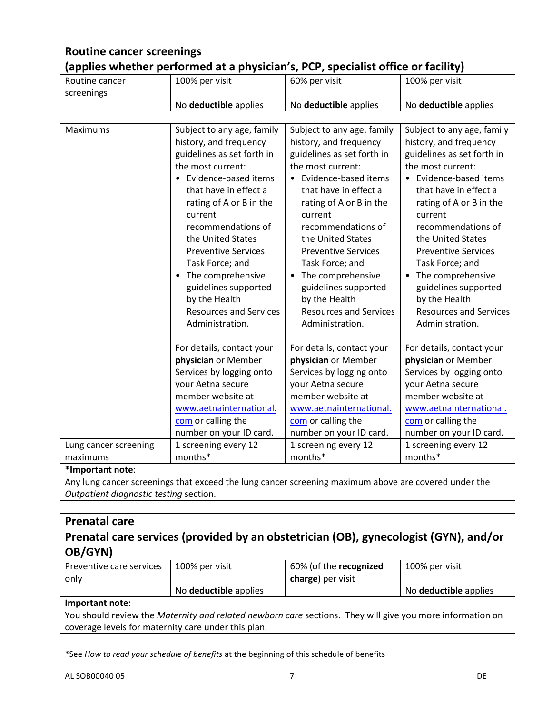| <b>Routine cancer screenings</b> |                                                                                                                                                                                                                                                                                                                  |                                                                                                                                                                                                                                                                                                       |                                                                                                                                                                                                                                                                                                                  |
|----------------------------------|------------------------------------------------------------------------------------------------------------------------------------------------------------------------------------------------------------------------------------------------------------------------------------------------------------------|-------------------------------------------------------------------------------------------------------------------------------------------------------------------------------------------------------------------------------------------------------------------------------------------------------|------------------------------------------------------------------------------------------------------------------------------------------------------------------------------------------------------------------------------------------------------------------------------------------------------------------|
|                                  | (applies whether performed at a physician's, PCP, specialist office or facility)                                                                                                                                                                                                                                 |                                                                                                                                                                                                                                                                                                       |                                                                                                                                                                                                                                                                                                                  |
| Routine cancer                   | 100% per visit                                                                                                                                                                                                                                                                                                   | 60% per visit                                                                                                                                                                                                                                                                                         | 100% per visit                                                                                                                                                                                                                                                                                                   |
| screenings                       |                                                                                                                                                                                                                                                                                                                  |                                                                                                                                                                                                                                                                                                       |                                                                                                                                                                                                                                                                                                                  |
|                                  | No deductible applies                                                                                                                                                                                                                                                                                            | No deductible applies                                                                                                                                                                                                                                                                                 | No deductible applies                                                                                                                                                                                                                                                                                            |
|                                  |                                                                                                                                                                                                                                                                                                                  |                                                                                                                                                                                                                                                                                                       |                                                                                                                                                                                                                                                                                                                  |
| Maximums                         | Subject to any age, family<br>history, and frequency                                                                                                                                                                                                                                                             | Subject to any age, family<br>history, and frequency                                                                                                                                                                                                                                                  | Subject to any age, family<br>history, and frequency                                                                                                                                                                                                                                                             |
|                                  | guidelines as set forth in                                                                                                                                                                                                                                                                                       | guidelines as set forth in                                                                                                                                                                                                                                                                            | guidelines as set forth in                                                                                                                                                                                                                                                                                       |
|                                  | the most current:                                                                                                                                                                                                                                                                                                | the most current:                                                                                                                                                                                                                                                                                     | the most current:                                                                                                                                                                                                                                                                                                |
|                                  | • Evidence-based items<br>that have in effect a<br>rating of A or B in the<br>current<br>recommendations of<br>the United States<br><b>Preventive Services</b><br>Task Force; and<br>The comprehensive<br>$\bullet$<br>guidelines supported<br>by the Health<br><b>Resources and Services</b><br>Administration. | • Evidence-based items<br>that have in effect a<br>rating of A or B in the<br>current<br>recommendations of<br>the United States<br><b>Preventive Services</b><br>Task Force; and<br>• The comprehensive<br>guidelines supported<br>by the Health<br><b>Resources and Services</b><br>Administration. | • Evidence-based items<br>that have in effect a<br>rating of A or B in the<br>current<br>recommendations of<br>the United States<br><b>Preventive Services</b><br>Task Force; and<br>The comprehensive<br>$\bullet$<br>guidelines supported<br>by the Health<br><b>Resources and Services</b><br>Administration. |
|                                  | For details, contact your<br>physician or Member<br>Services by logging onto<br>your Aetna secure                                                                                                                                                                                                                | For details, contact your<br>physician or Member<br>Services by logging onto<br>your Aetna secure                                                                                                                                                                                                     | For details, contact your<br>physician or Member<br>Services by logging onto<br>your Aetna secure                                                                                                                                                                                                                |
|                                  | member website at                                                                                                                                                                                                                                                                                                | member website at                                                                                                                                                                                                                                                                                     | member website at                                                                                                                                                                                                                                                                                                |
|                                  | www.aetnainternational.                                                                                                                                                                                                                                                                                          | www.aetnainternational.                                                                                                                                                                                                                                                                               | www.aetnainternational.                                                                                                                                                                                                                                                                                          |
|                                  | com or calling the                                                                                                                                                                                                                                                                                               | com or calling the                                                                                                                                                                                                                                                                                    | com or calling the                                                                                                                                                                                                                                                                                               |
|                                  | number on your ID card.                                                                                                                                                                                                                                                                                          | number on your ID card.                                                                                                                                                                                                                                                                               | number on your ID card.                                                                                                                                                                                                                                                                                          |
| Lung cancer screening            | 1 screening every 12                                                                                                                                                                                                                                                                                             | 1 screening every 12                                                                                                                                                                                                                                                                                  | 1 screening every 12                                                                                                                                                                                                                                                                                             |
| maximums                         | months*                                                                                                                                                                                                                                                                                                          | months*                                                                                                                                                                                                                                                                                               | months*                                                                                                                                                                                                                                                                                                          |
| *Imnortant note:                 |                                                                                                                                                                                                                                                                                                                  |                                                                                                                                                                                                                                                                                                       |                                                                                                                                                                                                                                                                                                                  |

#### **\*Important note**:

Any lung cancer screenings that exceed the lung cancer screening maximum above are covered under the *Outpatient diagnostic testing* section.

### **Prenatal care**

## **Prenatal care services (provided by an obstetrician (OB), gynecologist (GYN), and/or OB/GYN)**

| Preventive care services | 100% per visit               | 60% (of the recognized | 100% per visit               |
|--------------------------|------------------------------|------------------------|------------------------------|
| only                     |                              | charge) per visit      |                              |
|                          | No <b>deductible</b> applies |                        | No <b>deductible</b> applies |
|                          |                              |                        |                              |

#### **Important note:**

You should review the *Maternity and related newborn care* sections. They will give you more information on coverage levels for maternity care under this plan.

\*See *How to read your schedule of benefits* at the beginning of this schedule of benefits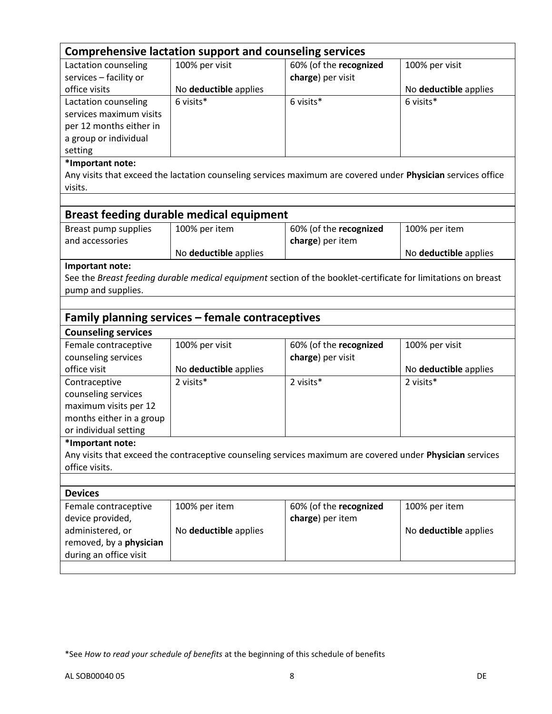|                                              | <b>Comprehensive lactation support and counseling services</b> |                                                                                                               |                                    |
|----------------------------------------------|----------------------------------------------------------------|---------------------------------------------------------------------------------------------------------------|------------------------------------|
| Lactation counseling                         | 100% per visit                                                 | 60% (of the recognized                                                                                        | 100% per visit                     |
| services - facility or                       |                                                                | charge) per visit                                                                                             |                                    |
| office visits                                | No deductible applies                                          |                                                                                                               | No deductible applies              |
| Lactation counseling                         | 6 visits*                                                      | 6 visits*                                                                                                     | 6 visits*                          |
| services maximum visits                      |                                                                |                                                                                                               |                                    |
| per 12 months either in                      |                                                                |                                                                                                               |                                    |
| a group or individual                        |                                                                |                                                                                                               |                                    |
| setting                                      |                                                                |                                                                                                               |                                    |
| *Important note:                             |                                                                |                                                                                                               |                                    |
|                                              |                                                                | Any visits that exceed the lactation counseling services maximum are covered under Physician services office  |                                    |
| visits.                                      |                                                                |                                                                                                               |                                    |
|                                              |                                                                |                                                                                                               |                                    |
|                                              | <b>Breast feeding durable medical equipment</b>                |                                                                                                               |                                    |
| Breast pump supplies                         | 100% per item                                                  | 60% (of the recognized                                                                                        | 100% per item                      |
| and accessories                              |                                                                | charge) per item                                                                                              |                                    |
|                                              | No deductible applies                                          |                                                                                                               | No deductible applies              |
| Important note:                              |                                                                |                                                                                                               |                                    |
|                                              |                                                                | See the Breast feeding durable medical equipment section of the booklet-certificate for limitations on breast |                                    |
| pump and supplies.                           |                                                                |                                                                                                               |                                    |
|                                              |                                                                |                                                                                                               |                                    |
|                                              |                                                                |                                                                                                               |                                    |
|                                              | Family planning services - female contraceptives               |                                                                                                               |                                    |
| <b>Counseling services</b>                   |                                                                |                                                                                                               |                                    |
| Female contraceptive                         | 100% per visit                                                 | 60% (of the recognized                                                                                        | 100% per visit                     |
| counseling services                          |                                                                | charge) per visit                                                                                             |                                    |
| office visit                                 |                                                                |                                                                                                               |                                    |
| Contraceptive                                | No deductible applies<br>2 visits*                             | 2 visits*                                                                                                     | No deductible applies<br>2 visits* |
|                                              |                                                                |                                                                                                               |                                    |
| counseling services<br>maximum visits per 12 |                                                                |                                                                                                               |                                    |
| months either in a group                     |                                                                |                                                                                                               |                                    |
| or individual setting                        |                                                                |                                                                                                               |                                    |
| *Important note:                             |                                                                |                                                                                                               |                                    |
|                                              |                                                                | Any visits that exceed the contraceptive counseling services maximum are covered under Physician services     |                                    |
| office visits.                               |                                                                |                                                                                                               |                                    |
|                                              |                                                                |                                                                                                               |                                    |
| <b>Devices</b>                               |                                                                |                                                                                                               |                                    |
| Female contraceptive                         | 100% per item                                                  | 60% (of the recognized                                                                                        | 100% per item                      |
| device provided,                             |                                                                | charge) per item                                                                                              |                                    |
| administered, or                             | No deductible applies                                          |                                                                                                               | No deductible applies              |
| removed, by a physician                      |                                                                |                                                                                                               |                                    |
| during an office visit                       |                                                                |                                                                                                               |                                    |

<sup>\*</sup>See *How to read your schedule of benefits* at the beginning of this schedule of benefits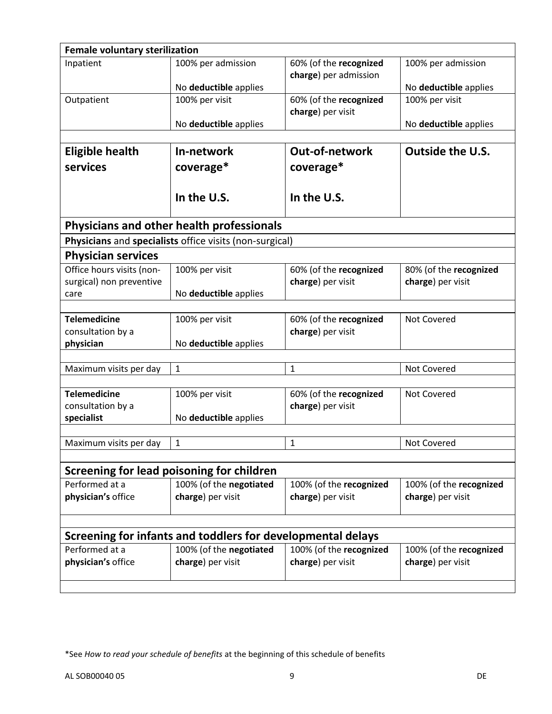| <b>Female voluntary sterilization</b> |                                                             |                         |                         |
|---------------------------------------|-------------------------------------------------------------|-------------------------|-------------------------|
| Inpatient                             | 100% per admission                                          | 60% (of the recognized  | 100% per admission      |
|                                       |                                                             | charge) per admission   |                         |
|                                       | No deductible applies                                       |                         | No deductible applies   |
| Outpatient                            | 100% per visit                                              | 60% (of the recognized  | 100% per visit          |
|                                       |                                                             | charge) per visit       |                         |
|                                       | No deductible applies                                       |                         | No deductible applies   |
|                                       |                                                             |                         |                         |
| <b>Eligible health</b>                | In-network                                                  | Out-of-network          | Outside the U.S.        |
| services                              | coverage*                                                   | coverage*               |                         |
|                                       |                                                             |                         |                         |
|                                       |                                                             |                         |                         |
|                                       | In the U.S.                                                 | In the U.S.             |                         |
|                                       |                                                             |                         |                         |
|                                       | Physicians and other health professionals                   |                         |                         |
|                                       | Physicians and specialists office visits (non-surgical)     |                         |                         |
| <b>Physician services</b>             |                                                             |                         |                         |
| Office hours visits (non-             | 100% per visit                                              | 60% (of the recognized  | 80% (of the recognized  |
| surgical) non preventive              |                                                             | charge) per visit       | charge) per visit       |
| care                                  | No deductible applies                                       |                         |                         |
|                                       |                                                             |                         |                         |
| <b>Telemedicine</b>                   | 100% per visit                                              | 60% (of the recognized  | Not Covered             |
| consultation by a                     |                                                             | charge) per visit       |                         |
| physician                             | No deductible applies                                       |                         |                         |
|                                       |                                                             |                         |                         |
| Maximum visits per day                | $\mathbf{1}$                                                | $\mathbf{1}$            | Not Covered             |
|                                       |                                                             |                         |                         |
| <b>Telemedicine</b>                   | 100% per visit                                              | 60% (of the recognized  | Not Covered             |
| consultation by a                     |                                                             | charge) per visit       |                         |
| specialist                            | No deductible applies                                       |                         |                         |
|                                       |                                                             |                         |                         |
| Maximum visits per day                | $\mathbf{1}$                                                | $\mathbf{1}$            | Not Covered             |
|                                       |                                                             |                         |                         |
|                                       | Screening for lead poisoning for children                   |                         |                         |
| Performed at a                        | 100% (of the negotiated                                     | 100% (of the recognized | 100% (of the recognized |
| physician's office                    | charge) per visit                                           | charge) per visit       | charge) per visit       |
|                                       |                                                             |                         |                         |
|                                       |                                                             |                         |                         |
|                                       | Screening for infants and toddlers for developmental delays |                         |                         |
| Performed at a                        | 100% (of the negotiated                                     | 100% (of the recognized | 100% (of the recognized |
| physician's office                    | charge) per visit                                           | charge) per visit       | charge) per visit       |
|                                       |                                                             |                         |                         |
|                                       |                                                             |                         |                         |

<sup>\*</sup>See *How to read your schedule of benefits* at the beginning of this schedule of benefits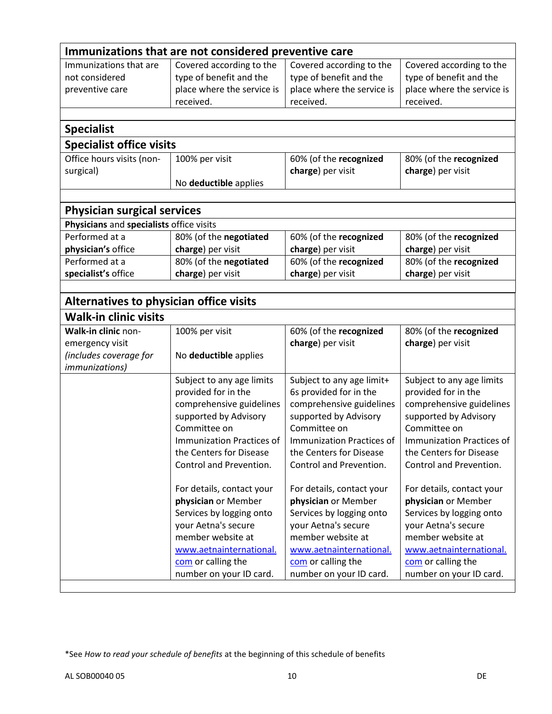|                                                | Immunizations that are not considered preventive care |                                                     |                                                     |
|------------------------------------------------|-------------------------------------------------------|-----------------------------------------------------|-----------------------------------------------------|
| Immunizations that are                         |                                                       |                                                     |                                                     |
| not considered                                 | Covered according to the<br>type of benefit and the   | Covered according to the<br>type of benefit and the | Covered according to the<br>type of benefit and the |
| preventive care                                | place where the service is                            | place where the service is                          | place where the service is                          |
|                                                | received.                                             | received.                                           | received.                                           |
|                                                |                                                       |                                                     |                                                     |
|                                                |                                                       |                                                     |                                                     |
| <b>Specialist</b>                              |                                                       |                                                     |                                                     |
| <b>Specialist office visits</b>                |                                                       |                                                     |                                                     |
| Office hours visits (non-                      | 100% per visit                                        | 60% (of the recognized                              | 80% (of the recognized                              |
| surgical)                                      |                                                       | charge) per visit                                   | charge) per visit                                   |
|                                                | No deductible applies                                 |                                                     |                                                     |
|                                                |                                                       |                                                     |                                                     |
| <b>Physician surgical services</b>             |                                                       |                                                     |                                                     |
| Physicians and specialists office visits       |                                                       |                                                     |                                                     |
| Performed at a                                 | 80% (of the negotiated                                | 60% (of the recognized                              | 80% (of the recognized                              |
| physician's office                             | charge) per visit                                     | charge) per visit                                   | charge) per visit                                   |
| Performed at a                                 | 80% (of the negotiated                                | 60% (of the recognized                              | 80% (of the recognized                              |
| specialist's office                            | charge) per visit                                     | charge) per visit                                   | charge) per visit                                   |
|                                                |                                                       |                                                     |                                                     |
| <b>Alternatives to physician office visits</b> |                                                       |                                                     |                                                     |
| <b>Walk-in clinic visits</b>                   |                                                       |                                                     |                                                     |
| Walk-in clinic non-                            | 100% per visit                                        | 60% (of the recognized                              | 80% (of the recognized                              |
| emergency visit                                |                                                       | charge) per visit                                   | charge) per visit                                   |
| (includes coverage for                         | No deductible applies                                 |                                                     |                                                     |
| <i>immunizations</i> )                         |                                                       |                                                     |                                                     |
|                                                | Subject to any age limits                             | Subject to any age limit+                           | Subject to any age limits                           |
|                                                | provided for in the                                   | 6s provided for in the                              | provided for in the                                 |
|                                                | comprehensive guidelines                              | comprehensive guidelines                            | comprehensive guidelines                            |
|                                                | supported by Advisory                                 | supported by Advisory                               | supported by Advisory                               |
|                                                | Committee on                                          | Committee on                                        | Committee on                                        |
|                                                | Immunization Practices of                             | Immunization Practices of                           | Immunization Practices of                           |
|                                                | the Centers for Disease                               | the Centers for Disease                             | the Centers for Disease                             |
|                                                | Control and Prevention.                               | Control and Prevention.                             | Control and Prevention.                             |
|                                                |                                                       |                                                     |                                                     |
|                                                | For details, contact your                             | For details, contact your                           | For details, contact your                           |
|                                                | physician or Member                                   | physician or Member                                 | physician or Member                                 |
|                                                | Services by logging onto                              | Services by logging onto                            | Services by logging onto                            |
|                                                | your Aetna's secure                                   | your Aetna's secure                                 | your Aetna's secure                                 |
|                                                | member website at                                     | member website at                                   | member website at                                   |
|                                                | www.aetnainternational.                               | www.aetnainternational.                             | www.aetnainternational.                             |
|                                                | com or calling the                                    | com or calling the                                  | com or calling the                                  |
|                                                | number on your ID card.                               | number on your ID card.                             | number on your ID card.                             |
|                                                |                                                       |                                                     |                                                     |

<sup>\*</sup>See *How to read your schedule of benefits* at the beginning of this schedule of benefits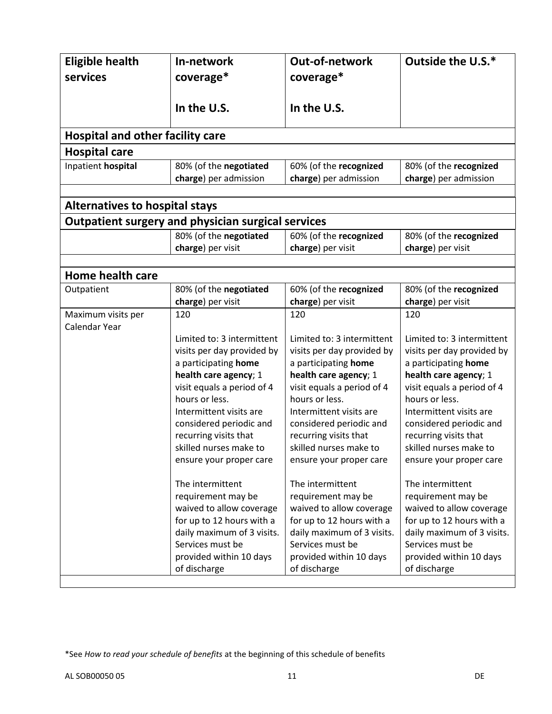| <b>Eligible health</b><br>services      | In-network<br>coverage*                                                                                                                                                                                                                                                                       | <b>Out-of-network</b><br>coverage*                                                                                                                                                                                                                                                            | Outside the U.S.*                                                                                                                                                                                                                                                                             |
|-----------------------------------------|-----------------------------------------------------------------------------------------------------------------------------------------------------------------------------------------------------------------------------------------------------------------------------------------------|-----------------------------------------------------------------------------------------------------------------------------------------------------------------------------------------------------------------------------------------------------------------------------------------------|-----------------------------------------------------------------------------------------------------------------------------------------------------------------------------------------------------------------------------------------------------------------------------------------------|
|                                         | In the U.S.                                                                                                                                                                                                                                                                                   | In the U.S.                                                                                                                                                                                                                                                                                   |                                                                                                                                                                                                                                                                                               |
| <b>Hospital and other facility care</b> |                                                                                                                                                                                                                                                                                               |                                                                                                                                                                                                                                                                                               |                                                                                                                                                                                                                                                                                               |
| <b>Hospital care</b>                    |                                                                                                                                                                                                                                                                                               |                                                                                                                                                                                                                                                                                               |                                                                                                                                                                                                                                                                                               |
| Inpatient hospital                      | 80% (of the negotiated<br>charge) per admission                                                                                                                                                                                                                                               | 60% (of the recognized<br>charge) per admission                                                                                                                                                                                                                                               | 80% (of the recognized<br>charge) per admission                                                                                                                                                                                                                                               |
| <b>Alternatives to hospital stays</b>   |                                                                                                                                                                                                                                                                                               |                                                                                                                                                                                                                                                                                               |                                                                                                                                                                                                                                                                                               |
|                                         | <b>Outpatient surgery and physician surgical services</b>                                                                                                                                                                                                                                     |                                                                                                                                                                                                                                                                                               |                                                                                                                                                                                                                                                                                               |
|                                         | 80% (of the negotiated<br>charge) per visit                                                                                                                                                                                                                                                   | 60% (of the recognized<br>charge) per visit                                                                                                                                                                                                                                                   | 80% (of the recognized<br>charge) per visit                                                                                                                                                                                                                                                   |
|                                         |                                                                                                                                                                                                                                                                                               |                                                                                                                                                                                                                                                                                               |                                                                                                                                                                                                                                                                                               |
| <b>Home health care</b>                 |                                                                                                                                                                                                                                                                                               |                                                                                                                                                                                                                                                                                               |                                                                                                                                                                                                                                                                                               |
| Outpatient                              | 80% (of the negotiated<br>charge) per visit                                                                                                                                                                                                                                                   | 60% (of the recognized<br>charge) per visit                                                                                                                                                                                                                                                   | 80% (of the recognized<br>charge) per visit                                                                                                                                                                                                                                                   |
| Maximum visits per                      | 120                                                                                                                                                                                                                                                                                           | 120                                                                                                                                                                                                                                                                                           | 120                                                                                                                                                                                                                                                                                           |
| Calendar Year                           |                                                                                                                                                                                                                                                                                               |                                                                                                                                                                                                                                                                                               |                                                                                                                                                                                                                                                                                               |
|                                         | Limited to: 3 intermittent<br>visits per day provided by<br>a participating home<br>health care agency; 1<br>visit equals a period of 4<br>hours or less.<br>Intermittent visits are<br>considered periodic and<br>recurring visits that<br>skilled nurses make to<br>ensure your proper care | Limited to: 3 intermittent<br>visits per day provided by<br>a participating home<br>health care agency; 1<br>visit equals a period of 4<br>hours or less.<br>Intermittent visits are<br>considered periodic and<br>recurring visits that<br>skilled nurses make to<br>ensure your proper care | Limited to: 3 intermittent<br>visits per day provided by<br>a participating home<br>health care agency; 1<br>visit equals a period of 4<br>hours or less.<br>Intermittent visits are<br>considered periodic and<br>recurring visits that<br>skilled nurses make to<br>ensure your proper care |
|                                         | The intermittent<br>requirement may be<br>waived to allow coverage<br>for up to 12 hours with a<br>daily maximum of 3 visits.<br>Services must be<br>provided within 10 days<br>of discharge                                                                                                  | The intermittent<br>requirement may be<br>waived to allow coverage<br>for up to 12 hours with a<br>daily maximum of 3 visits.<br>Services must be<br>provided within 10 days<br>of discharge                                                                                                  | The intermittent<br>requirement may be<br>waived to allow coverage<br>for up to 12 hours with a<br>daily maximum of 3 visits.<br>Services must be<br>provided within 10 days<br>of discharge                                                                                                  |

<sup>\*</sup>See *How to read your schedule of benefits* at the beginning of this schedule of benefits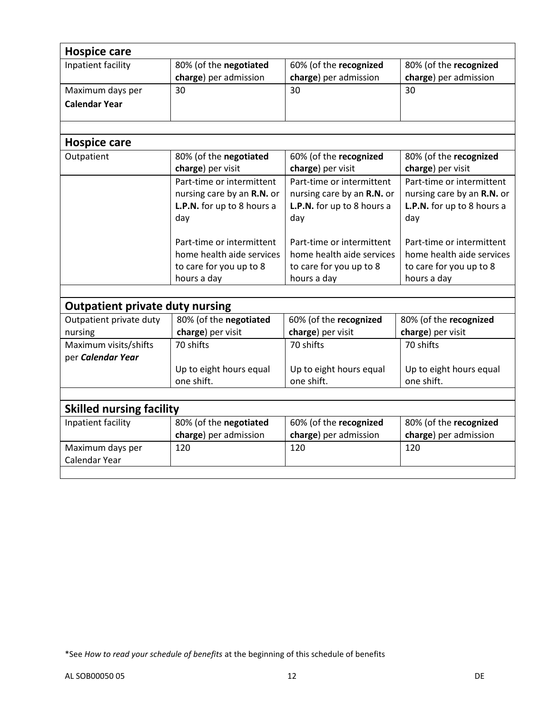| <b>Hospice care</b>                    |                            |                            |                            |
|----------------------------------------|----------------------------|----------------------------|----------------------------|
| Inpatient facility                     | 80% (of the negotiated     | 60% (of the recognized     | 80% (of the recognized     |
|                                        | charge) per admission      | charge) per admission      | charge) per admission      |
| Maximum days per                       | 30                         | 30                         | 30                         |
| <b>Calendar Year</b>                   |                            |                            |                            |
| <b>Hospice care</b>                    |                            |                            |                            |
| Outpatient                             | 80% (of the negotiated     | 60% (of the recognized     | 80% (of the recognized     |
|                                        | charge) per visit          | charge) per visit          | charge) per visit          |
|                                        | Part-time or intermittent  | Part-time or intermittent  | Part-time or intermittent  |
|                                        | nursing care by an R.N. or | nursing care by an R.N. or | nursing care by an R.N. or |
|                                        | L.P.N. for up to 8 hours a | L.P.N. for up to 8 hours a | L.P.N. for up to 8 hours a |
|                                        | day                        | day                        | day                        |
|                                        | Part-time or intermittent  | Part-time or intermittent  | Part-time or intermittent  |
|                                        | home health aide services  | home health aide services  | home health aide services  |
|                                        | to care for you up to 8    | to care for you up to 8    | to care for you up to 8    |
|                                        | hours a day                | hours a day                | hours a day                |
|                                        |                            |                            |                            |
| <b>Outpatient private duty nursing</b> |                            |                            |                            |
| Outpatient private duty                | 80% (of the negotiated     | 60% (of the recognized     | 80% (of the recognized     |
| nursing                                | charge) per visit          | charge) per visit          | charge) per visit          |
| Maximum visits/shifts                  | 70 shifts                  | 70 shifts                  | 70 shifts                  |
| per Calendar Year                      |                            |                            |                            |
|                                        | Up to eight hours equal    | Up to eight hours equal    | Up to eight hours equal    |
|                                        | one shift.                 | one shift.                 | one shift.                 |
|                                        |                            |                            |                            |
| <b>Skilled nursing facility</b>        |                            |                            |                            |
| Inpatient facility                     | 80% (of the negotiated     | 60% (of the recognized     | 80% (of the recognized     |
|                                        | charge) per admission      | charge) per admission      | charge) per admission      |
| Maximum days per<br>Calendar Year      | 120                        | 120                        | 120                        |
|                                        |                            |                            |                            |

<sup>\*</sup>See *How to read your schedule of benefits* at the beginning of this schedule of benefits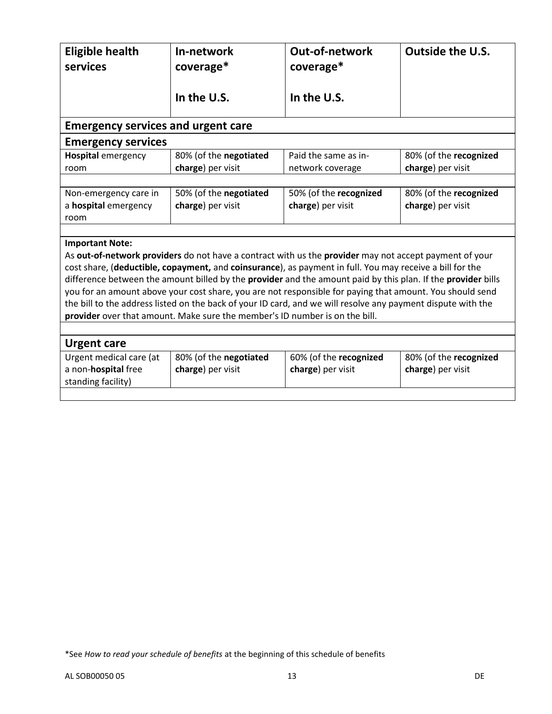| <b>Eligible health</b><br>services                                                                                                                                                                                       | In-network<br>coverage*                                                     | <b>Out-of-network</b><br>coverage*                                                                           | <b>Outside the U.S.</b> |  |
|--------------------------------------------------------------------------------------------------------------------------------------------------------------------------------------------------------------------------|-----------------------------------------------------------------------------|--------------------------------------------------------------------------------------------------------------|-------------------------|--|
|                                                                                                                                                                                                                          |                                                                             |                                                                                                              |                         |  |
|                                                                                                                                                                                                                          | In the U.S.                                                                 | In the U.S.                                                                                                  |                         |  |
| <b>Emergency services and urgent care</b>                                                                                                                                                                                |                                                                             |                                                                                                              |                         |  |
| <b>Emergency services</b>                                                                                                                                                                                                |                                                                             |                                                                                                              |                         |  |
| <b>Hospital emergency</b>                                                                                                                                                                                                | 80% (of the negotiated                                                      | Paid the same as in-                                                                                         | 80% (of the recognized  |  |
| room                                                                                                                                                                                                                     | charge) per visit                                                           | network coverage                                                                                             | charge) per visit       |  |
|                                                                                                                                                                                                                          |                                                                             |                                                                                                              |                         |  |
| Non-emergency care in                                                                                                                                                                                                    | 50% (of the negotiated                                                      | 50% (of the recognized                                                                                       | 80% (of the recognized  |  |
| a hospital emergency                                                                                                                                                                                                     | charge) per visit                                                           | charge) per visit                                                                                            | charge) per visit       |  |
| room                                                                                                                                                                                                                     |                                                                             |                                                                                                              |                         |  |
|                                                                                                                                                                                                                          |                                                                             |                                                                                                              |                         |  |
| <b>Important Note:</b>                                                                                                                                                                                                   |                                                                             |                                                                                                              |                         |  |
|                                                                                                                                                                                                                          |                                                                             | As out-of-network providers do not have a contract with us the provider may not accept payment of your       |                         |  |
|                                                                                                                                                                                                                          |                                                                             | cost share, (deductible, copayment, and coinsurance), as payment in full. You may receive a bill for the     |                         |  |
| difference between the amount billed by the provider and the amount paid by this plan. If the provider bills<br>you for an amount above your cost share, you are not responsible for paying that amount. You should send |                                                                             |                                                                                                              |                         |  |
|                                                                                                                                                                                                                          |                                                                             | the bill to the address listed on the back of your ID card, and we will resolve any payment dispute with the |                         |  |
|                                                                                                                                                                                                                          | provider over that amount. Make sure the member's ID number is on the bill. |                                                                                                              |                         |  |
|                                                                                                                                                                                                                          |                                                                             |                                                                                                              |                         |  |
| <b>Urgent care</b>                                                                                                                                                                                                       |                                                                             |                                                                                                              |                         |  |
| Urgent medical care (at                                                                                                                                                                                                  | 80% (of the negotiated                                                      | 60% (of the recognized                                                                                       | 80% (of the recognized  |  |
| a non-hospital free                                                                                                                                                                                                      | charge) per visit                                                           | charge) per visit                                                                                            | charge) per visit       |  |
| standing facility)                                                                                                                                                                                                       |                                                                             |                                                                                                              |                         |  |
|                                                                                                                                                                                                                          |                                                                             |                                                                                                              |                         |  |

<sup>\*</sup>See *How to read your schedule of benefits* at the beginning of this schedule of benefits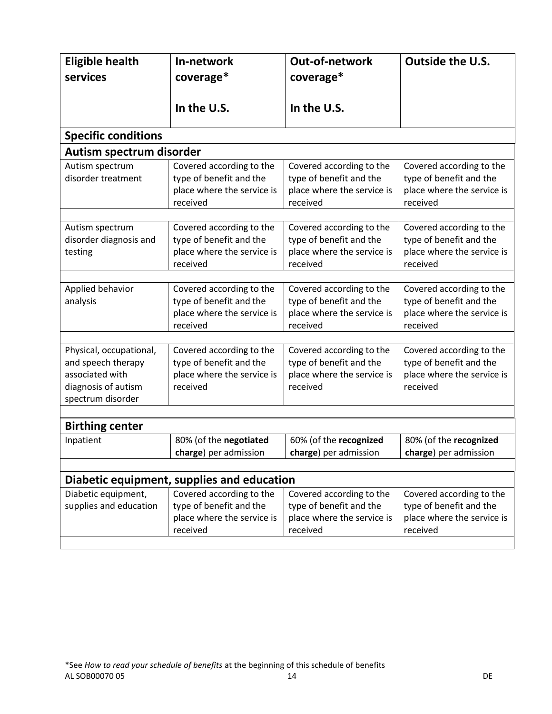| <b>Eligible health</b><br>services                                                                           | In-network<br>coverage*                                                                       | <b>Out-of-network</b><br>coverage*                                                            | Outside the U.S.                                                                              |
|--------------------------------------------------------------------------------------------------------------|-----------------------------------------------------------------------------------------------|-----------------------------------------------------------------------------------------------|-----------------------------------------------------------------------------------------------|
|                                                                                                              | In the U.S.                                                                                   | In the U.S.                                                                                   |                                                                                               |
| <b>Specific conditions</b>                                                                                   |                                                                                               |                                                                                               |                                                                                               |
| Autism spectrum disorder                                                                                     |                                                                                               |                                                                                               |                                                                                               |
| Autism spectrum<br>disorder treatment                                                                        | Covered according to the<br>type of benefit and the<br>place where the service is<br>received | Covered according to the<br>type of benefit and the<br>place where the service is<br>received | Covered according to the<br>type of benefit and the<br>place where the service is<br>received |
| Autism spectrum<br>disorder diagnosis and<br>testing                                                         | Covered according to the<br>type of benefit and the<br>place where the service is<br>received | Covered according to the<br>type of benefit and the<br>place where the service is<br>received | Covered according to the<br>type of benefit and the<br>place where the service is<br>received |
| Applied behavior<br>analysis                                                                                 | Covered according to the<br>type of benefit and the<br>place where the service is<br>received | Covered according to the<br>type of benefit and the<br>place where the service is<br>received | Covered according to the<br>type of benefit and the<br>place where the service is<br>received |
| Physical, occupational,<br>and speech therapy<br>associated with<br>diagnosis of autism<br>spectrum disorder | Covered according to the<br>type of benefit and the<br>place where the service is<br>received | Covered according to the<br>type of benefit and the<br>place where the service is<br>received | Covered according to the<br>type of benefit and the<br>place where the service is<br>received |
| <b>Birthing center</b>                                                                                       |                                                                                               |                                                                                               |                                                                                               |
| Inpatient                                                                                                    | 80% (of the negotiated<br>charge) per admission                                               | 60% (of the recognized<br>charge) per admission                                               | 80% (of the recognized<br>charge) per admission                                               |
|                                                                                                              |                                                                                               |                                                                                               |                                                                                               |
|                                                                                                              | Diabetic equipment, supplies and education                                                    |                                                                                               |                                                                                               |
| Diabetic equipment,<br>supplies and education                                                                | Covered according to the<br>type of benefit and the<br>place where the service is<br>received | Covered according to the<br>type of benefit and the<br>place where the service is<br>received | Covered according to the<br>type of benefit and the<br>place where the service is<br>received |
|                                                                                                              |                                                                                               |                                                                                               |                                                                                               |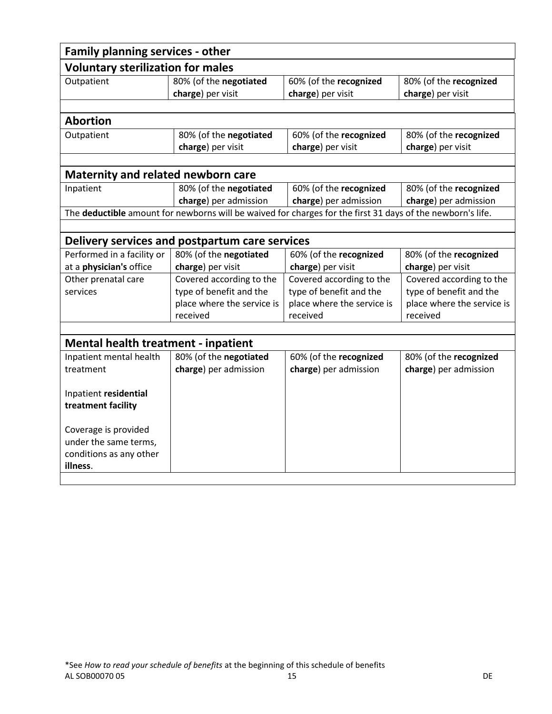|                                            | <b>Family planning services - other</b>                                                                    |                                             |                                             |  |  |
|--------------------------------------------|------------------------------------------------------------------------------------------------------------|---------------------------------------------|---------------------------------------------|--|--|
| <b>Voluntary sterilization for males</b>   |                                                                                                            |                                             |                                             |  |  |
| Outpatient                                 | 80% (of the negotiated<br>charge) per visit                                                                | 60% (of the recognized<br>charge) per visit | 80% (of the recognized<br>charge) per visit |  |  |
| <b>Abortion</b>                            |                                                                                                            |                                             |                                             |  |  |
|                                            |                                                                                                            |                                             |                                             |  |  |
| Outpatient                                 | 80% (of the negotiated<br>charge) per visit                                                                | 60% (of the recognized<br>charge) per visit | 80% (of the recognized<br>charge) per visit |  |  |
|                                            |                                                                                                            |                                             |                                             |  |  |
| <b>Maternity and related newborn care</b>  |                                                                                                            |                                             |                                             |  |  |
| Inpatient                                  | 80% (of the negotiated                                                                                     | 60% (of the recognized                      | 80% (of the recognized                      |  |  |
|                                            | charge) per admission                                                                                      | charge) per admission                       | charge) per admission                       |  |  |
|                                            | The deductible amount for newborns will be waived for charges for the first 31 days of the newborn's life. |                                             |                                             |  |  |
|                                            |                                                                                                            |                                             |                                             |  |  |
|                                            | Delivery services and postpartum care services                                                             |                                             |                                             |  |  |
| Performed in a facility or                 | 80% (of the negotiated                                                                                     | 60% (of the recognized                      | 80% (of the recognized                      |  |  |
| at a physician's office                    | charge) per visit                                                                                          | charge) per visit                           | charge) per visit                           |  |  |
| Other prenatal care                        | Covered according to the                                                                                   | Covered according to the                    | Covered according to the                    |  |  |
| services                                   | type of benefit and the                                                                                    | type of benefit and the                     | type of benefit and the                     |  |  |
|                                            | place where the service is                                                                                 | place where the service is                  | place where the service is                  |  |  |
|                                            | received                                                                                                   | received                                    | received                                    |  |  |
|                                            |                                                                                                            |                                             |                                             |  |  |
| <b>Mental health treatment - inpatient</b> |                                                                                                            |                                             |                                             |  |  |
| Inpatient mental health                    | 80% (of the negotiated                                                                                     | 60% (of the recognized                      | 80% (of the recognized                      |  |  |
| treatment                                  | charge) per admission                                                                                      | charge) per admission                       | charge) per admission                       |  |  |
| Inpatient residential                      |                                                                                                            |                                             |                                             |  |  |
| treatment facility                         |                                                                                                            |                                             |                                             |  |  |
| Coverage is provided                       |                                                                                                            |                                             |                                             |  |  |
| under the same terms,                      |                                                                                                            |                                             |                                             |  |  |
| conditions as any other                    |                                                                                                            |                                             |                                             |  |  |
| illness.                                   |                                                                                                            |                                             |                                             |  |  |
|                                            |                                                                                                            |                                             |                                             |  |  |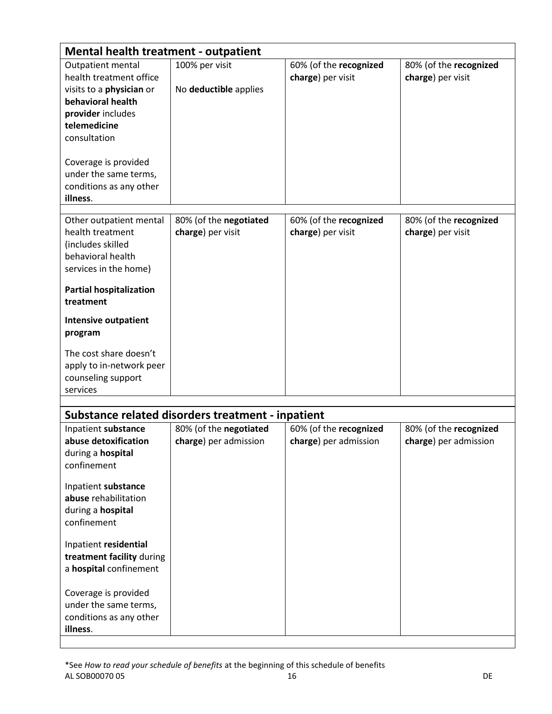| <b>Mental health treatment - outpatient</b>                                                                                                                                                                                                       |                                                   |                                                 |                                                 |  |
|---------------------------------------------------------------------------------------------------------------------------------------------------------------------------------------------------------------------------------------------------|---------------------------------------------------|-------------------------------------------------|-------------------------------------------------|--|
| <b>Outpatient mental</b><br>health treatment office<br>visits to a physician or<br>behavioral health<br>provider includes<br>telemedicine<br>consultation<br>Coverage is provided<br>under the same terms,<br>conditions as any other<br>illness. | 100% per visit<br>No deductible applies           | 60% (of the recognized<br>charge) per visit     | 80% (of the recognized<br>charge) per visit     |  |
| Other outpatient mental<br>health treatment<br>(includes skilled<br>behavioral health<br>services in the home)<br><b>Partial hospitalization</b><br>treatment<br><b>Intensive outpatient</b><br>program<br>The cost share doesn't                 | 80% (of the negotiated<br>charge) per visit       | 60% (of the recognized<br>charge) per visit     | 80% (of the recognized<br>charge) per visit     |  |
| apply to in-network peer<br>counseling support<br>services                                                                                                                                                                                        |                                                   |                                                 |                                                 |  |
|                                                                                                                                                                                                                                                   | Substance related disorders treatment - inpatient |                                                 |                                                 |  |
| Inpatient substance<br>abuse detoxification<br>during a hospital<br>confinement<br>Inpatient substance<br>abuse rehabilitation<br>during a hospital<br>confinement                                                                                | 80% (of the negotiated<br>charge) per admission   | 60% (of the recognized<br>charge) per admission | 80% (of the recognized<br>charge) per admission |  |
| Inpatient residential<br>treatment facility during<br>a hospital confinement<br>Coverage is provided<br>under the same terms,<br>conditions as any other<br>illness.                                                                              |                                                   |                                                 |                                                 |  |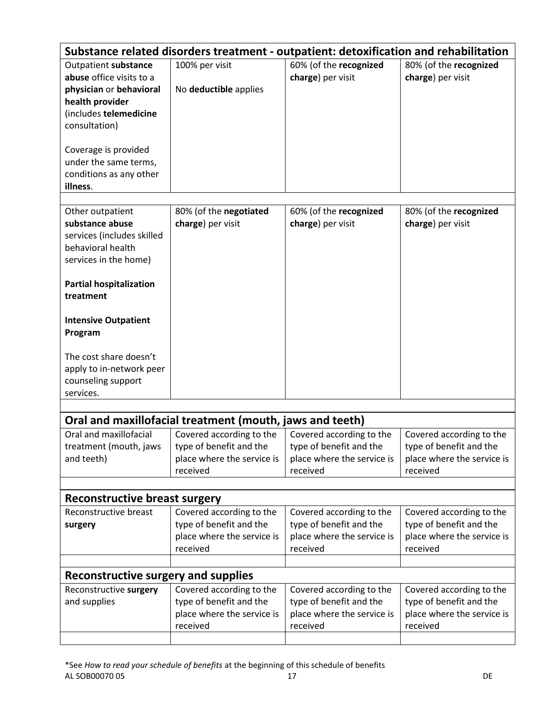| 60% (of the recognized<br>Outpatient substance<br>100% per visit<br>80% (of the recognized<br>abuse office visits to a<br>charge) per visit<br>charge) per visit<br>physician or behavioral<br>No deductible applies<br>health provider<br>(includes telemedicine<br>consultation)<br>Coverage is provided<br>under the same terms,<br>conditions as any other<br>illness.<br>Other outpatient<br>80% (of the negotiated<br>60% (of the recognized<br>80% (of the recognized<br>substance abuse<br>charge) per visit<br>charge) per visit<br>charge) per visit<br>services (includes skilled<br>behavioral health<br>services in the home)<br><b>Partial hospitalization</b><br>treatment<br><b>Intensive Outpatient</b><br>Program<br>The cost share doesn't | Substance related disorders treatment - outpatient: detoxification and rehabilitation |  |  |  |  |
|---------------------------------------------------------------------------------------------------------------------------------------------------------------------------------------------------------------------------------------------------------------------------------------------------------------------------------------------------------------------------------------------------------------------------------------------------------------------------------------------------------------------------------------------------------------------------------------------------------------------------------------------------------------------------------------------------------------------------------------------------------------|---------------------------------------------------------------------------------------|--|--|--|--|
|                                                                                                                                                                                                                                                                                                                                                                                                                                                                                                                                                                                                                                                                                                                                                               |                                                                                       |  |  |  |  |
|                                                                                                                                                                                                                                                                                                                                                                                                                                                                                                                                                                                                                                                                                                                                                               |                                                                                       |  |  |  |  |
|                                                                                                                                                                                                                                                                                                                                                                                                                                                                                                                                                                                                                                                                                                                                                               |                                                                                       |  |  |  |  |
|                                                                                                                                                                                                                                                                                                                                                                                                                                                                                                                                                                                                                                                                                                                                                               |                                                                                       |  |  |  |  |
|                                                                                                                                                                                                                                                                                                                                                                                                                                                                                                                                                                                                                                                                                                                                                               |                                                                                       |  |  |  |  |
|                                                                                                                                                                                                                                                                                                                                                                                                                                                                                                                                                                                                                                                                                                                                                               |                                                                                       |  |  |  |  |
|                                                                                                                                                                                                                                                                                                                                                                                                                                                                                                                                                                                                                                                                                                                                                               |                                                                                       |  |  |  |  |
|                                                                                                                                                                                                                                                                                                                                                                                                                                                                                                                                                                                                                                                                                                                                                               |                                                                                       |  |  |  |  |
|                                                                                                                                                                                                                                                                                                                                                                                                                                                                                                                                                                                                                                                                                                                                                               |                                                                                       |  |  |  |  |
|                                                                                                                                                                                                                                                                                                                                                                                                                                                                                                                                                                                                                                                                                                                                                               |                                                                                       |  |  |  |  |
|                                                                                                                                                                                                                                                                                                                                                                                                                                                                                                                                                                                                                                                                                                                                                               |                                                                                       |  |  |  |  |
|                                                                                                                                                                                                                                                                                                                                                                                                                                                                                                                                                                                                                                                                                                                                                               |                                                                                       |  |  |  |  |
|                                                                                                                                                                                                                                                                                                                                                                                                                                                                                                                                                                                                                                                                                                                                                               |                                                                                       |  |  |  |  |
|                                                                                                                                                                                                                                                                                                                                                                                                                                                                                                                                                                                                                                                                                                                                                               |                                                                                       |  |  |  |  |
|                                                                                                                                                                                                                                                                                                                                                                                                                                                                                                                                                                                                                                                                                                                                                               |                                                                                       |  |  |  |  |
|                                                                                                                                                                                                                                                                                                                                                                                                                                                                                                                                                                                                                                                                                                                                                               |                                                                                       |  |  |  |  |
|                                                                                                                                                                                                                                                                                                                                                                                                                                                                                                                                                                                                                                                                                                                                                               |                                                                                       |  |  |  |  |
|                                                                                                                                                                                                                                                                                                                                                                                                                                                                                                                                                                                                                                                                                                                                                               |                                                                                       |  |  |  |  |
|                                                                                                                                                                                                                                                                                                                                                                                                                                                                                                                                                                                                                                                                                                                                                               |                                                                                       |  |  |  |  |
|                                                                                                                                                                                                                                                                                                                                                                                                                                                                                                                                                                                                                                                                                                                                                               |                                                                                       |  |  |  |  |
|                                                                                                                                                                                                                                                                                                                                                                                                                                                                                                                                                                                                                                                                                                                                                               | apply to in-network peer                                                              |  |  |  |  |
| counseling support                                                                                                                                                                                                                                                                                                                                                                                                                                                                                                                                                                                                                                                                                                                                            |                                                                                       |  |  |  |  |
| services.                                                                                                                                                                                                                                                                                                                                                                                                                                                                                                                                                                                                                                                                                                                                                     |                                                                                       |  |  |  |  |
|                                                                                                                                                                                                                                                                                                                                                                                                                                                                                                                                                                                                                                                                                                                                                               |                                                                                       |  |  |  |  |
| Oral and maxillofacial treatment (mouth, jaws and teeth)                                                                                                                                                                                                                                                                                                                                                                                                                                                                                                                                                                                                                                                                                                      |                                                                                       |  |  |  |  |
| Oral and maxillofacial<br>Covered according to the<br>Covered according to the<br>Covered according to the                                                                                                                                                                                                                                                                                                                                                                                                                                                                                                                                                                                                                                                    |                                                                                       |  |  |  |  |
| type of benefit and the<br>type of benefit and the<br>type of benefit and the<br>treatment (mouth, jaws                                                                                                                                                                                                                                                                                                                                                                                                                                                                                                                                                                                                                                                       |                                                                                       |  |  |  |  |
| and teeth)<br>place where the service is<br>place where the service is<br>place where the service is                                                                                                                                                                                                                                                                                                                                                                                                                                                                                                                                                                                                                                                          |                                                                                       |  |  |  |  |
| received<br>received<br>received                                                                                                                                                                                                                                                                                                                                                                                                                                                                                                                                                                                                                                                                                                                              |                                                                                       |  |  |  |  |
| <b>Reconstructive breast surgery</b>                                                                                                                                                                                                                                                                                                                                                                                                                                                                                                                                                                                                                                                                                                                          |                                                                                       |  |  |  |  |
| Reconstructive breast<br>Covered according to the<br>Covered according to the<br>Covered according to the                                                                                                                                                                                                                                                                                                                                                                                                                                                                                                                                                                                                                                                     |                                                                                       |  |  |  |  |
| type of benefit and the<br>type of benefit and the<br>type of benefit and the<br>surgery                                                                                                                                                                                                                                                                                                                                                                                                                                                                                                                                                                                                                                                                      |                                                                                       |  |  |  |  |
| place where the service is<br>place where the service is<br>place where the service is                                                                                                                                                                                                                                                                                                                                                                                                                                                                                                                                                                                                                                                                        |                                                                                       |  |  |  |  |
| received<br>received<br>received                                                                                                                                                                                                                                                                                                                                                                                                                                                                                                                                                                                                                                                                                                                              |                                                                                       |  |  |  |  |
|                                                                                                                                                                                                                                                                                                                                                                                                                                                                                                                                                                                                                                                                                                                                                               |                                                                                       |  |  |  |  |
| Reconstructive surgery and supplies                                                                                                                                                                                                                                                                                                                                                                                                                                                                                                                                                                                                                                                                                                                           |                                                                                       |  |  |  |  |
| Covered according to the<br>Reconstructive surgery<br>Covered according to the<br>Covered according to the                                                                                                                                                                                                                                                                                                                                                                                                                                                                                                                                                                                                                                                    |                                                                                       |  |  |  |  |
| type of benefit and the<br>type of benefit and the<br>and supplies<br>type of benefit and the                                                                                                                                                                                                                                                                                                                                                                                                                                                                                                                                                                                                                                                                 |                                                                                       |  |  |  |  |
| place where the service is<br>place where the service is<br>place where the service is                                                                                                                                                                                                                                                                                                                                                                                                                                                                                                                                                                                                                                                                        |                                                                                       |  |  |  |  |
| received<br>received<br>received                                                                                                                                                                                                                                                                                                                                                                                                                                                                                                                                                                                                                                                                                                                              |                                                                                       |  |  |  |  |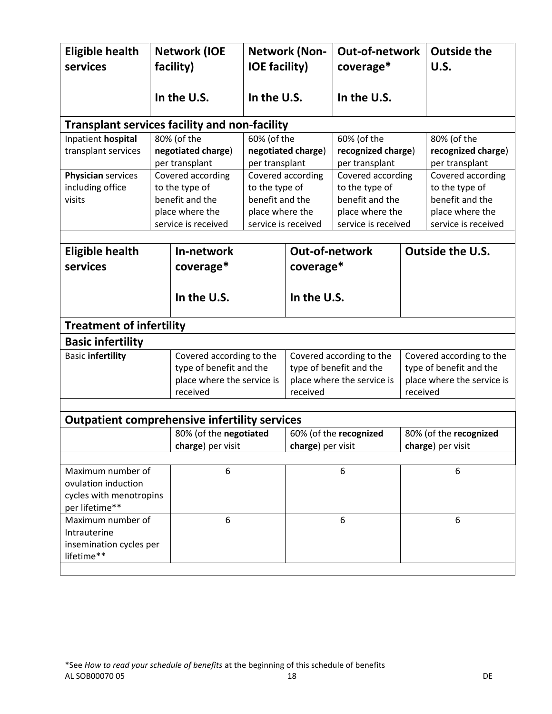| <b>Eligible health</b><br>services                   |  | <b>Network (IOE</b><br>facility)       | <b>IOE facility)</b>                   | <b>Network (Non-</b> | <b>Out-of-network</b><br>coverage*     |          | <b>Outside the</b><br>U.S.             |
|------------------------------------------------------|--|----------------------------------------|----------------------------------------|----------------------|----------------------------------------|----------|----------------------------------------|
|                                                      |  | In the U.S.                            | In the U.S.                            |                      | In the U.S.                            |          |                                        |
| <b>Transplant services facility and non-facility</b> |  |                                        |                                        |                      |                                        |          |                                        |
| Inpatient hospital                                   |  | 80% (of the                            | 60% (of the                            |                      | 60% (of the                            |          | 80% (of the                            |
| transplant services                                  |  | negotiated charge)                     |                                        | negotiated charge)   | recognized charge)                     |          | recognized charge)                     |
|                                                      |  | per transplant                         | per transplant                         |                      | per transplant                         |          | per transplant                         |
| Physician services                                   |  | Covered according                      |                                        | Covered according    | Covered according                      |          | Covered according                      |
| including office                                     |  | to the type of                         | to the type of                         |                      | to the type of                         |          | to the type of                         |
| visits                                               |  | benefit and the                        | benefit and the                        |                      | benefit and the                        |          | benefit and the                        |
|                                                      |  | place where the<br>service is received | place where the<br>service is received |                      | place where the<br>service is received |          | place where the<br>service is received |
|                                                      |  |                                        |                                        |                      |                                        |          |                                        |
| <b>Eligible health</b>                               |  | In-network                             |                                        |                      | <b>Out-of-network</b>                  |          | <b>Outside the U.S.</b>                |
| services                                             |  | coverage*                              |                                        | coverage*            |                                        |          |                                        |
|                                                      |  |                                        |                                        |                      |                                        |          |                                        |
|                                                      |  | In the U.S.                            |                                        | In the U.S.          |                                        |          |                                        |
|                                                      |  |                                        |                                        |                      |                                        |          |                                        |
| <b>Treatment of infertility</b>                      |  |                                        |                                        |                      |                                        |          |                                        |
| <b>Basic infertility</b>                             |  |                                        |                                        |                      |                                        |          |                                        |
| <b>Basic infertility</b>                             |  | Covered according to the               |                                        |                      | Covered according to the               |          | Covered according to the               |
|                                                      |  | type of benefit and the                |                                        |                      | type of benefit and the                |          | type of benefit and the                |
|                                                      |  | place where the service is             |                                        |                      | place where the service is             |          | place where the service is             |
|                                                      |  | received                               |                                        | received             |                                        | received |                                        |
|                                                      |  |                                        |                                        |                      |                                        |          |                                        |
| <b>Outpatient comprehensive infertility services</b> |  |                                        |                                        |                      |                                        |          |                                        |
|                                                      |  | 80% (of the negotiated                 |                                        |                      | 60% (of the recognized                 |          | 80% (of the recognized                 |
|                                                      |  | charge) per visit                      |                                        | charge) per visit    |                                        |          | charge) per visit                      |
|                                                      |  |                                        |                                        |                      |                                        |          |                                        |
| Maximum number of                                    |  | 6                                      |                                        |                      | 6                                      |          | 6                                      |
| ovulation induction                                  |  |                                        |                                        |                      |                                        |          |                                        |
| cycles with menotropins<br>per lifetime**            |  |                                        |                                        |                      |                                        |          |                                        |
| Maximum number of                                    |  | 6                                      |                                        |                      | 6                                      |          | 6                                      |
| Intrauterine                                         |  |                                        |                                        |                      |                                        |          |                                        |
| insemination cycles per                              |  |                                        |                                        |                      |                                        |          |                                        |
| lifetime**                                           |  |                                        |                                        |                      |                                        |          |                                        |
|                                                      |  |                                        |                                        |                      |                                        |          |                                        |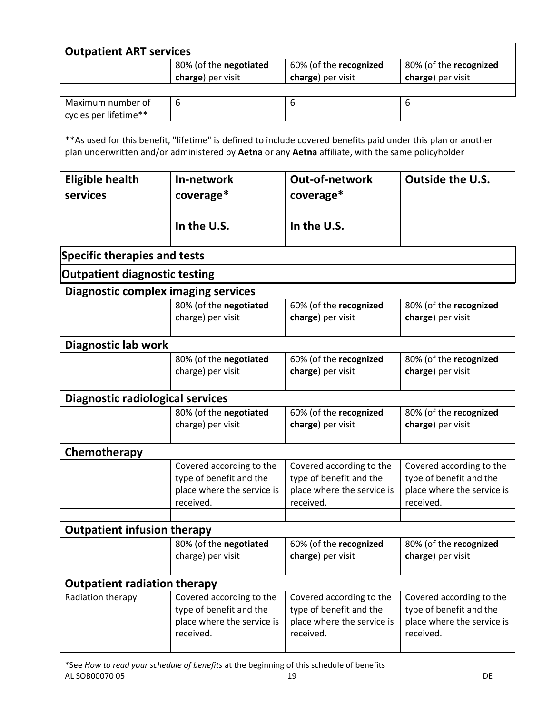| <b>Outpatient ART services</b>             |                                                                                                                |                                                       |                                                       |
|--------------------------------------------|----------------------------------------------------------------------------------------------------------------|-------------------------------------------------------|-------------------------------------------------------|
|                                            | 80% (of the negotiated                                                                                         | 60% (of the recognized                                | 80% (of the recognized                                |
|                                            | charge) per visit                                                                                              | charge) per visit                                     | charge) per visit                                     |
|                                            |                                                                                                                |                                                       |                                                       |
| Maximum number of                          | 6                                                                                                              | 6                                                     | 6                                                     |
| cycles per lifetime**                      |                                                                                                                |                                                       |                                                       |
|                                            | ** As used for this benefit, "lifetime" is defined to include covered benefits paid under this plan or another |                                                       |                                                       |
|                                            | plan underwritten and/or administered by Aetna or any Aetna affiliate, with the same policyholder              |                                                       |                                                       |
|                                            |                                                                                                                |                                                       |                                                       |
| <b>Eligible health</b>                     | In-network                                                                                                     | <b>Out-of-network</b>                                 | <b>Outside the U.S.</b>                               |
| services                                   | coverage*                                                                                                      | coverage*                                             |                                                       |
|                                            |                                                                                                                |                                                       |                                                       |
|                                            | In the U.S.                                                                                                    | In the U.S.                                           |                                                       |
|                                            |                                                                                                                |                                                       |                                                       |
| <b>Specific therapies and tests</b>        |                                                                                                                |                                                       |                                                       |
| <b>Outpatient diagnostic testing</b>       |                                                                                                                |                                                       |                                                       |
| <b>Diagnostic complex imaging services</b> |                                                                                                                |                                                       |                                                       |
|                                            | 80% (of the negotiated                                                                                         | 60% (of the recognized                                | 80% (of the recognized                                |
|                                            | charge) per visit                                                                                              | charge) per visit                                     | charge) per visit                                     |
|                                            |                                                                                                                |                                                       |                                                       |
| Diagnostic lab work                        |                                                                                                                |                                                       |                                                       |
|                                            | 80% (of the negotiated                                                                                         | 60% (of the recognized                                | 80% (of the recognized                                |
|                                            | charge) per visit                                                                                              | charge) per visit                                     | charge) per visit                                     |
|                                            |                                                                                                                |                                                       |                                                       |
| Diagnostic radiological services           |                                                                                                                |                                                       |                                                       |
|                                            | 80% (of the negotiated                                                                                         | 60% (of the recognized                                | 80% (of the recognized                                |
|                                            | charge) per visit                                                                                              | charge) per visit                                     | charge) per visit                                     |
|                                            |                                                                                                                |                                                       |                                                       |
| Chemotherapy                               |                                                                                                                |                                                       |                                                       |
|                                            | Covered according to the<br>type of benefit and the                                                            | Covered according to the<br>type of benefit and the   | Covered according to the<br>type of benefit and the   |
|                                            | place where the service is                                                                                     | place where the service is                            | place where the service is                            |
|                                            | received.                                                                                                      | received.                                             | received.                                             |
|                                            |                                                                                                                |                                                       |                                                       |
| <b>Outpatient infusion therapy</b>         |                                                                                                                |                                                       |                                                       |
|                                            | 80% (of the negotiated                                                                                         | 60% (of the recognized                                | 80% (of the recognized                                |
|                                            | charge) per visit                                                                                              | charge) per visit                                     | charge) per visit                                     |
|                                            |                                                                                                                |                                                       |                                                       |
| <b>Outpatient radiation therapy</b>        |                                                                                                                |                                                       |                                                       |
| Radiation therapy                          | Covered according to the                                                                                       | Covered according to the                              | Covered according to the                              |
|                                            | type of benefit and the<br>place where the service is                                                          | type of benefit and the<br>place where the service is | type of benefit and the<br>place where the service is |
|                                            | received.                                                                                                      | received.                                             | received.                                             |
|                                            |                                                                                                                |                                                       |                                                       |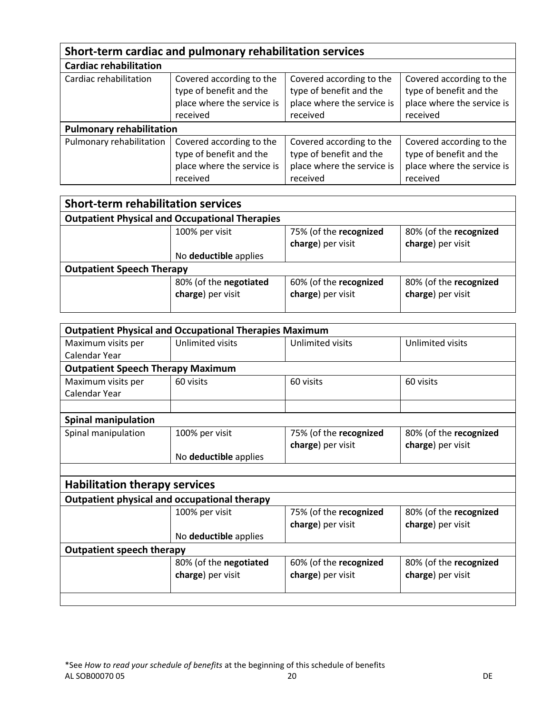| Short-term cardiac and pulmonary rehabilitation services |                                                                                               |                                                                                               |                                                                                               |  |  |  |
|----------------------------------------------------------|-----------------------------------------------------------------------------------------------|-----------------------------------------------------------------------------------------------|-----------------------------------------------------------------------------------------------|--|--|--|
| <b>Cardiac rehabilitation</b>                            |                                                                                               |                                                                                               |                                                                                               |  |  |  |
| Cardiac rehabilitation                                   | Covered according to the<br>type of benefit and the<br>place where the service is<br>received | Covered according to the<br>type of benefit and the<br>place where the service is<br>received | Covered according to the<br>type of benefit and the<br>place where the service is<br>received |  |  |  |
| <b>Pulmonary rehabilitation</b>                          |                                                                                               |                                                                                               |                                                                                               |  |  |  |
| Pulmonary rehabilitation                                 | Covered according to the<br>type of benefit and the<br>place where the service is<br>received | Covered according to the<br>type of benefit and the<br>place where the service is<br>received | Covered according to the<br>type of benefit and the<br>place where the service is<br>received |  |  |  |

| <b>Short-term rehabilitation services</b>             |                                             |                                             |                                             |  |  |
|-------------------------------------------------------|---------------------------------------------|---------------------------------------------|---------------------------------------------|--|--|
| <b>Outpatient Physical and Occupational Therapies</b> |                                             |                                             |                                             |  |  |
|                                                       | 100% per visit                              | 75% (of the recognized<br>charge) per visit | 80% (of the recognized<br>charge) per visit |  |  |
|                                                       | No deductible applies                       |                                             |                                             |  |  |
| <b>Outpatient Speech Therapy</b>                      |                                             |                                             |                                             |  |  |
|                                                       | 80% (of the negotiated<br>charge) per visit | 60% (of the recognized<br>charge) per visit | 80% (of the recognized<br>charge) per visit |  |  |

| <b>Outpatient Physical and Occupational Therapies Maximum</b> |                                              |                        |                        |  |  |  |  |
|---------------------------------------------------------------|----------------------------------------------|------------------------|------------------------|--|--|--|--|
| Maximum visits per                                            | <b>Unlimited visits</b>                      | Unlimited visits       | Unlimited visits       |  |  |  |  |
| Calendar Year                                                 |                                              |                        |                        |  |  |  |  |
| <b>Outpatient Speech Therapy Maximum</b>                      |                                              |                        |                        |  |  |  |  |
| Maximum visits per                                            | 60 visits                                    | 60 visits              | 60 visits              |  |  |  |  |
| Calendar Year                                                 |                                              |                        |                        |  |  |  |  |
|                                                               |                                              |                        |                        |  |  |  |  |
| <b>Spinal manipulation</b>                                    |                                              |                        |                        |  |  |  |  |
| Spinal manipulation                                           | 100% per visit                               | 75% (of the recognized | 80% (of the recognized |  |  |  |  |
|                                                               |                                              | charge) per visit      | charge) per visit      |  |  |  |  |
|                                                               | No deductible applies                        |                        |                        |  |  |  |  |
|                                                               |                                              |                        |                        |  |  |  |  |
| <b>Habilitation therapy services</b>                          |                                              |                        |                        |  |  |  |  |
|                                                               | Outpatient physical and occupational therapy |                        |                        |  |  |  |  |
|                                                               | 100% per visit                               | 75% (of the recognized | 80% (of the recognized |  |  |  |  |
|                                                               |                                              | charge) per visit      | charge) per visit      |  |  |  |  |
|                                                               | No deductible applies                        |                        |                        |  |  |  |  |
| <b>Outpatient speech therapy</b>                              |                                              |                        |                        |  |  |  |  |
|                                                               | 80% (of the negotiated                       | 60% (of the recognized | 80% (of the recognized |  |  |  |  |
|                                                               | charge) per visit                            | charge) per visit      | charge) per visit      |  |  |  |  |
|                                                               |                                              |                        |                        |  |  |  |  |
|                                                               |                                              |                        |                        |  |  |  |  |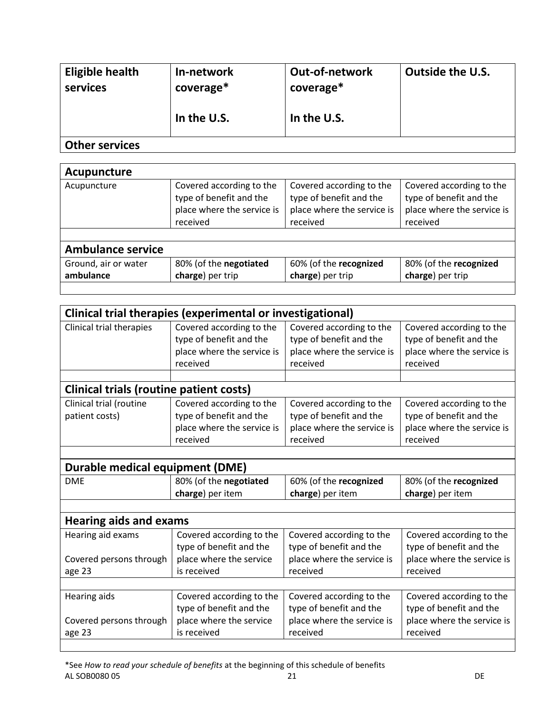| <b>Eligible health</b><br>services | In-network<br>coverage* | <b>Out-of-network</b><br>coverage* | <b>Outside the U.S.</b> |
|------------------------------------|-------------------------|------------------------------------|-------------------------|
|                                    | In the U.S.             | In the U.S.                        |                         |
| <b>Other services</b>              |                         |                                    |                         |

| Acupuncture              |                                                                                               |                                                                                               |                                                                                               |
|--------------------------|-----------------------------------------------------------------------------------------------|-----------------------------------------------------------------------------------------------|-----------------------------------------------------------------------------------------------|
| Acupuncture              | Covered according to the<br>type of benefit and the<br>place where the service is<br>received | Covered according to the<br>type of benefit and the<br>place where the service is<br>received | Covered according to the<br>type of benefit and the<br>place where the service is<br>received |
|                          |                                                                                               |                                                                                               |                                                                                               |
| <b>Ambulance service</b> |                                                                                               |                                                                                               |                                                                                               |
| Ground, air or water     | 80% (of the negotiated                                                                        | 60% (of the recognized                                                                        | 80% (of the recognized                                                                        |
| ambulance                | charge) per trip                                                                              | charge) per trip                                                                              | charge) per trip                                                                              |

| Clinical trial therapies (experimental or investigational) |                            |                            |                            |
|------------------------------------------------------------|----------------------------|----------------------------|----------------------------|
| Clinical trial therapies                                   | Covered according to the   | Covered according to the   |                            |
|                                                            |                            | type of benefit and the    | Covered according to the   |
|                                                            | type of benefit and the    |                            | type of benefit and the    |
|                                                            | place where the service is | place where the service is | place where the service is |
|                                                            | received                   | received                   | received                   |
| <b>Clinical trials (routine patient costs)</b>             |                            |                            |                            |
|                                                            |                            |                            |                            |
| Clinical trial (routine                                    | Covered according to the   | Covered according to the   | Covered according to the   |
| patient costs)                                             | type of benefit and the    | type of benefit and the    | type of benefit and the    |
|                                                            | place where the service is | place where the service is | place where the service is |
|                                                            | received                   | received                   | received                   |
|                                                            |                            |                            |                            |
| <b>Durable medical equipment (DME)</b>                     |                            |                            |                            |
| <b>DME</b>                                                 | 80% (of the negotiated     | 60% (of the recognized     | 80% (of the recognized     |
|                                                            | charge) per item           | charge) per item           | charge) per item           |
|                                                            |                            |                            |                            |
| <b>Hearing aids and exams</b>                              |                            |                            |                            |
| Hearing aid exams                                          | Covered according to the   | Covered according to the   | Covered according to the   |
|                                                            | type of benefit and the    | type of benefit and the    | type of benefit and the    |
| Covered persons through                                    | place where the service    | place where the service is | place where the service is |
| age 23                                                     | is received                | received                   | received                   |
|                                                            |                            |                            |                            |
| Hearing aids                                               | Covered according to the   | Covered according to the   | Covered according to the   |
|                                                            | type of benefit and the    | type of benefit and the    | type of benefit and the    |
| Covered persons through                                    | place where the service    | place where the service is | place where the service is |
| age 23                                                     | is received                | received                   | received                   |
|                                                            |                            |                            |                            |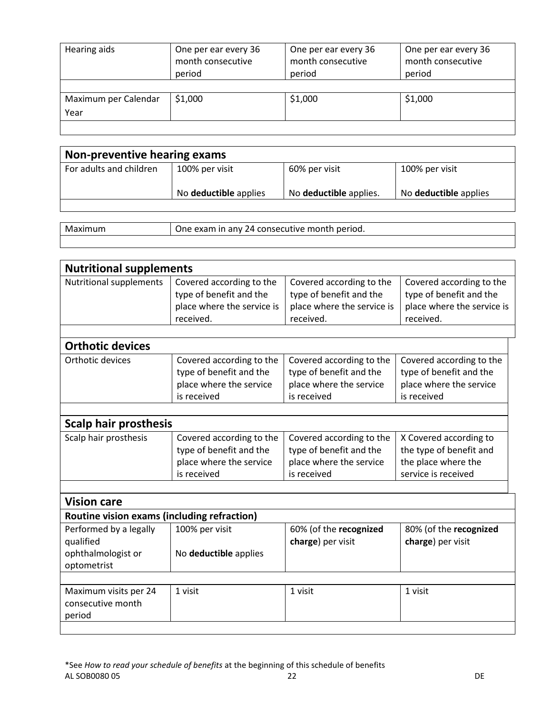| Hearing aids         | One per ear every 36<br>month consecutive<br>period | One per ear every 36<br>month consecutive<br>period | One per ear every 36<br>month consecutive<br>period |
|----------------------|-----------------------------------------------------|-----------------------------------------------------|-----------------------------------------------------|
|                      |                                                     |                                                     |                                                     |
| Maximum per Calendar | \$1,000                                             | \$1,000                                             | \$1,000                                             |
| Year                 |                                                     |                                                     |                                                     |
|                      |                                                     |                                                     |                                                     |

| Non-preventive hearing exams |                       |                        |                              |
|------------------------------|-----------------------|------------------------|------------------------------|
| For adults and children      | 100% per visit        | 60% per visit          | 100% per visit               |
|                              | No deductible applies | No deductible applies. | No <b>deductible</b> applies |
|                              |                       |                        |                              |

| Maximun | period.<br>24 consecutive month<br>exam<br>anv<br>ır<br>une |
|---------|-------------------------------------------------------------|
|         |                                                             |

| <b>Nutritional supplements</b>              |                                                     |                                                     |                                                     |
|---------------------------------------------|-----------------------------------------------------|-----------------------------------------------------|-----------------------------------------------------|
| <b>Nutritional supplements</b>              | Covered according to the<br>type of benefit and the | Covered according to the<br>type of benefit and the | Covered according to the<br>type of benefit and the |
|                                             | place where the service is                          | place where the service is                          | place where the service is                          |
|                                             | received.                                           | received.                                           | received.                                           |
|                                             |                                                     |                                                     |                                                     |
| <b>Orthotic devices</b>                     |                                                     |                                                     |                                                     |
| Orthotic devices                            | Covered according to the                            | Covered according to the                            | Covered according to the                            |
|                                             | type of benefit and the                             | type of benefit and the                             | type of benefit and the                             |
|                                             | place where the service                             | place where the service                             | place where the service                             |
|                                             | is received                                         | is received                                         | is received                                         |
|                                             |                                                     |                                                     |                                                     |
| <b>Scalp hair prosthesis</b>                |                                                     |                                                     |                                                     |
| Scalp hair prosthesis                       | Covered according to the                            | Covered according to the                            | X Covered according to                              |
|                                             | type of benefit and the                             | type of benefit and the                             | the type of benefit and                             |
|                                             | place where the service                             | place where the service                             | the place where the                                 |
|                                             | is received                                         | is received                                         | service is received                                 |
|                                             |                                                     |                                                     |                                                     |
| <b>Vision care</b>                          |                                                     |                                                     |                                                     |
| Routine vision exams (including refraction) |                                                     |                                                     |                                                     |
| Performed by a legally                      | 100% per visit                                      | 60% (of the recognized                              | 80% (of the recognized                              |
| qualified                                   |                                                     | charge) per visit                                   | charge) per visit                                   |
| ophthalmologist or                          | No deductible applies                               |                                                     |                                                     |
| optometrist                                 |                                                     |                                                     |                                                     |
|                                             |                                                     |                                                     |                                                     |
| Maximum visits per 24                       | 1 visit                                             | 1 visit                                             | 1 visit                                             |
| consecutive month                           |                                                     |                                                     |                                                     |
| period                                      |                                                     |                                                     |                                                     |
|                                             |                                                     |                                                     |                                                     |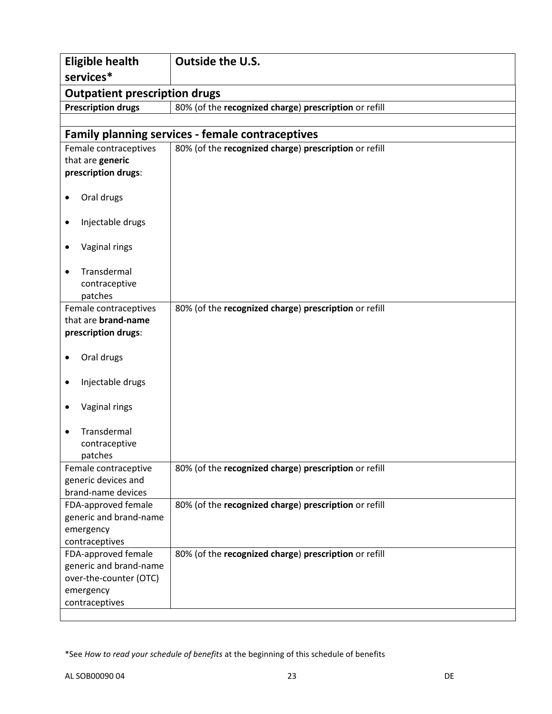| <b>Eligible health</b>                    | Outside the U.S.                                        |  |  |
|-------------------------------------------|---------------------------------------------------------|--|--|
| services*                                 |                                                         |  |  |
| <b>Outpatient prescription drugs</b>      |                                                         |  |  |
| <b>Prescription drugs</b>                 | 80% (of the recognized charge) prescription or refill   |  |  |
|                                           |                                                         |  |  |
|                                           | <b>Family planning services - female contraceptives</b> |  |  |
| Female contraceptives                     | 80% (of the recognized charge) prescription or refill   |  |  |
| that are generic                          |                                                         |  |  |
| prescription drugs:                       |                                                         |  |  |
| Oral drugs                                |                                                         |  |  |
| Injectable drugs<br>٠                     |                                                         |  |  |
| Vaginal rings<br>٠                        |                                                         |  |  |
| Transdermal<br>$\bullet$                  |                                                         |  |  |
| contraceptive                             |                                                         |  |  |
| patches                                   |                                                         |  |  |
| Female contraceptives                     | 80% (of the recognized charge) prescription or refill   |  |  |
| that are brand-name                       |                                                         |  |  |
| prescription drugs:                       |                                                         |  |  |
| Oral drugs<br>$\bullet$                   |                                                         |  |  |
| Injectable drugs<br>٠                     |                                                         |  |  |
| Vaginal rings                             |                                                         |  |  |
| Transdermal<br>$\bullet$                  |                                                         |  |  |
| contraceptive                             |                                                         |  |  |
| patches                                   |                                                         |  |  |
| Female contraceptive                      | 80% (of the recognized charge) prescription or refill   |  |  |
| generic devices and                       |                                                         |  |  |
| brand-name devices<br>FDA-approved female | 80% (of the recognized charge) prescription or refill   |  |  |
| generic and brand-name                    |                                                         |  |  |
| emergency                                 |                                                         |  |  |
| contraceptives                            |                                                         |  |  |
| FDA-approved female                       | 80% (of the recognized charge) prescription or refill   |  |  |
| generic and brand-name                    |                                                         |  |  |
| over-the-counter (OTC)                    |                                                         |  |  |
| emergency                                 |                                                         |  |  |
| contraceptives                            |                                                         |  |  |
|                                           |                                                         |  |  |

<sup>\*</sup>See *How to read your schedule of benefits* at the beginning of this schedule of benefits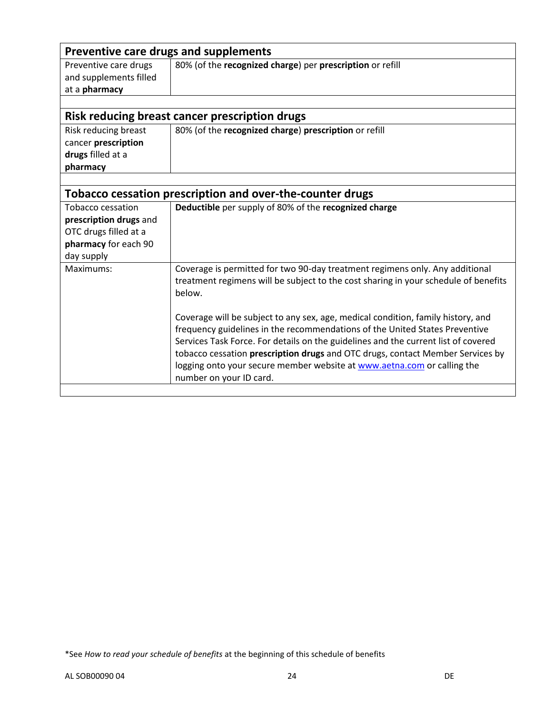|                                                                                                                   | Preventive care drugs and supplements                                                                                                                                                                                                                                                                                                                                                                                                         |
|-------------------------------------------------------------------------------------------------------------------|-----------------------------------------------------------------------------------------------------------------------------------------------------------------------------------------------------------------------------------------------------------------------------------------------------------------------------------------------------------------------------------------------------------------------------------------------|
| Preventive care drugs<br>and supplements filled<br>at a pharmacy                                                  | 80% (of the recognized charge) per prescription or refill                                                                                                                                                                                                                                                                                                                                                                                     |
|                                                                                                                   |                                                                                                                                                                                                                                                                                                                                                                                                                                               |
|                                                                                                                   | Risk reducing breast cancer prescription drugs                                                                                                                                                                                                                                                                                                                                                                                                |
| Risk reducing breast<br>cancer prescription<br>drugs filled at a<br>pharmacy                                      | 80% (of the recognized charge) prescription or refill                                                                                                                                                                                                                                                                                                                                                                                         |
|                                                                                                                   |                                                                                                                                                                                                                                                                                                                                                                                                                                               |
|                                                                                                                   | Tobacco cessation prescription and over-the-counter drugs                                                                                                                                                                                                                                                                                                                                                                                     |
| <b>Tobacco cessation</b><br>prescription drugs and<br>OTC drugs filled at a<br>pharmacy for each 90<br>day supply | Deductible per supply of 80% of the recognized charge                                                                                                                                                                                                                                                                                                                                                                                         |
| Maximums:                                                                                                         | Coverage is permitted for two 90-day treatment regimens only. Any additional<br>treatment regimens will be subject to the cost sharing in your schedule of benefits<br>below.                                                                                                                                                                                                                                                                 |
|                                                                                                                   | Coverage will be subject to any sex, age, medical condition, family history, and<br>frequency guidelines in the recommendations of the United States Preventive<br>Services Task Force. For details on the guidelines and the current list of covered<br>tobacco cessation prescription drugs and OTC drugs, contact Member Services by<br>logging onto your secure member website at www.aetna.com or calling the<br>number on your ID card. |

<sup>\*</sup>See *How to read your schedule of benefits* at the beginning of this schedule of benefits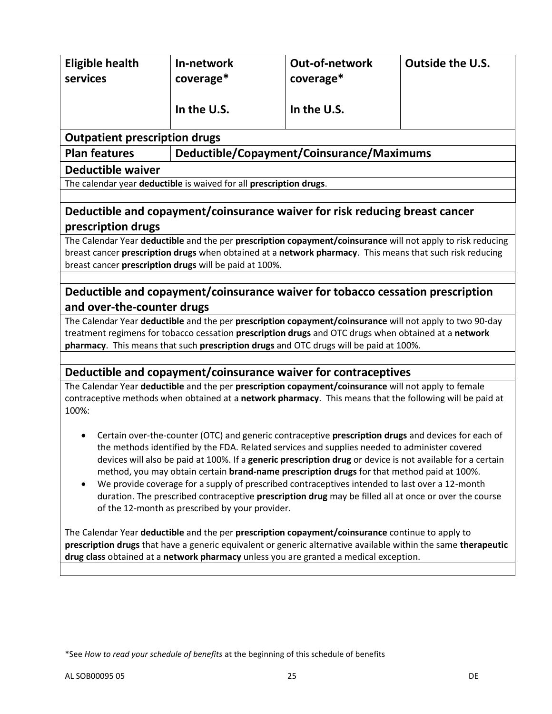| <b>Eligible health</b>                                                                                                                                   | In-network                                                                                           | <b>Out-of-network</b>                     | <b>Outside the U.S.</b>                                                                                     |  |
|----------------------------------------------------------------------------------------------------------------------------------------------------------|------------------------------------------------------------------------------------------------------|-------------------------------------------|-------------------------------------------------------------------------------------------------------------|--|
| services                                                                                                                                                 | coverage*                                                                                            | coverage*                                 |                                                                                                             |  |
|                                                                                                                                                          |                                                                                                      |                                           |                                                                                                             |  |
|                                                                                                                                                          | In the U.S.                                                                                          | In the U.S.                               |                                                                                                             |  |
| <b>Outpatient prescription drugs</b>                                                                                                                     |                                                                                                      |                                           |                                                                                                             |  |
| <b>Plan features</b>                                                                                                                                     |                                                                                                      | Deductible/Copayment/Coinsurance/Maximums |                                                                                                             |  |
| <b>Deductible waiver</b>                                                                                                                                 |                                                                                                      |                                           |                                                                                                             |  |
|                                                                                                                                                          | The calendar year deductible is waived for all prescription drugs.                                   |                                           |                                                                                                             |  |
|                                                                                                                                                          |                                                                                                      |                                           |                                                                                                             |  |
|                                                                                                                                                          | Deductible and copayment/coinsurance waiver for risk reducing breast cancer                          |                                           |                                                                                                             |  |
| prescription drugs                                                                                                                                       |                                                                                                      |                                           |                                                                                                             |  |
|                                                                                                                                                          |                                                                                                      |                                           | The Calendar Year deductible and the per prescription copayment/coinsurance will not apply to risk reducing |  |
|                                                                                                                                                          |                                                                                                      |                                           | breast cancer prescription drugs when obtained at a network pharmacy. This means that such risk reducing    |  |
|                                                                                                                                                          | breast cancer prescription drugs will be paid at 100%.                                               |                                           |                                                                                                             |  |
|                                                                                                                                                          | Deductible and copayment/coinsurance waiver for tobacco cessation prescription                       |                                           |                                                                                                             |  |
| and over-the-counter drugs                                                                                                                               |                                                                                                      |                                           |                                                                                                             |  |
| The Calendar Year deductible and the per prescription copayment/coinsurance will not apply to two 90-day                                                 |                                                                                                      |                                           |                                                                                                             |  |
|                                                                                                                                                          | treatment regimens for tobacco cessation prescription drugs and OTC drugs when obtained at a network |                                           |                                                                                                             |  |
|                                                                                                                                                          | pharmacy. This means that such prescription drugs and OTC drugs will be paid at 100%.                |                                           |                                                                                                             |  |
|                                                                                                                                                          | Deductible and copayment/coinsurance waiver for contraceptives                                       |                                           |                                                                                                             |  |
|                                                                                                                                                          | The Calendar Year deductible and the per prescription copayment/coinsurance will not apply to female |                                           |                                                                                                             |  |
|                                                                                                                                                          |                                                                                                      |                                           | contraceptive methods when obtained at a network pharmacy. This means that the following will be paid at    |  |
| 100%:                                                                                                                                                    |                                                                                                      |                                           |                                                                                                             |  |
|                                                                                                                                                          |                                                                                                      |                                           | Certain over-the-counter (OTC) and generic contraceptive prescription drugs and devices for each of         |  |
|                                                                                                                                                          | the methods identified by the FDA. Related services and supplies needed to administer covered        |                                           |                                                                                                             |  |
|                                                                                                                                                          |                                                                                                      |                                           | devices will also be paid at 100%. If a generic prescription drug or device is not available for a certain  |  |
|                                                                                                                                                          | method, you may obtain certain brand-name prescription drugs for that method paid at 100%.           |                                           |                                                                                                             |  |
| We provide coverage for a supply of prescribed contraceptives intended to last over a 12-month                                                           |                                                                                                      |                                           |                                                                                                             |  |
| duration. The prescribed contraceptive prescription drug may be filled all at once or over the course<br>of the 12-month as prescribed by your provider. |                                                                                                      |                                           |                                                                                                             |  |
|                                                                                                                                                          |                                                                                                      |                                           |                                                                                                             |  |
|                                                                                                                                                          | The Calendar Year deductible and the per prescription copayment/coinsurance continue to apply to     |                                           |                                                                                                             |  |
| prescription drugs that have a generic equivalent or generic alternative available within the same therapeutic                                           |                                                                                                      |                                           |                                                                                                             |  |
| drug class obtained at a network pharmacy unless you are granted a medical exception.                                                                    |                                                                                                      |                                           |                                                                                                             |  |
|                                                                                                                                                          |                                                                                                      |                                           |                                                                                                             |  |
|                                                                                                                                                          |                                                                                                      |                                           |                                                                                                             |  |

<sup>\*</sup>See *How to read your schedule of benefits* at the beginning of this schedule of benefits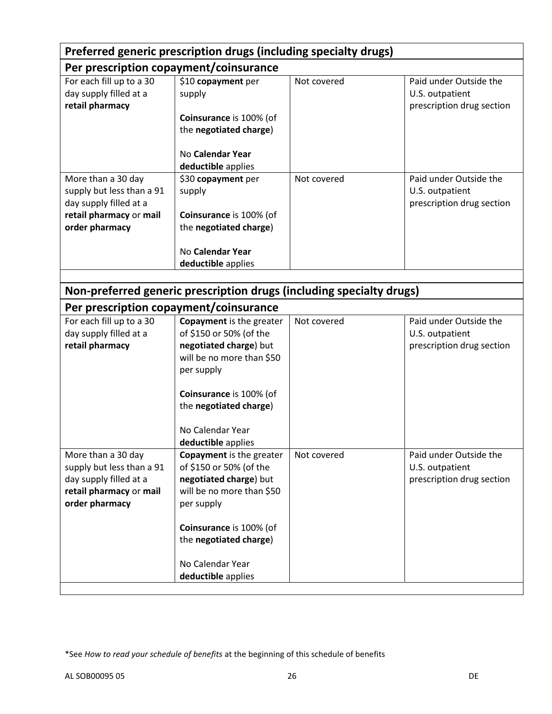| Preferred generic prescription drugs (including specialty drugs)                                                       |                                                                                                                                                                                                                                |             |                                                                        |  |
|------------------------------------------------------------------------------------------------------------------------|--------------------------------------------------------------------------------------------------------------------------------------------------------------------------------------------------------------------------------|-------------|------------------------------------------------------------------------|--|
| Per prescription copayment/coinsurance                                                                                 |                                                                                                                                                                                                                                |             |                                                                        |  |
| For each fill up to a 30<br>day supply filled at a<br>retail pharmacy                                                  | \$10 copayment per<br>supply<br>Coinsurance is 100% (of<br>the negotiated charge)<br>No Calendar Year<br>deductible applies                                                                                                    | Not covered | Paid under Outside the<br>U.S. outpatient<br>prescription drug section |  |
| More than a 30 day<br>supply but less than a 91<br>day supply filled at a<br>retail pharmacy or mail<br>order pharmacy | \$30 copayment per<br>supply<br>Coinsurance is 100% (of<br>the negotiated charge)<br>No Calendar Year<br>deductible applies                                                                                                    | Not covered | Paid under Outside the<br>U.S. outpatient<br>prescription drug section |  |
|                                                                                                                        | Non-preferred generic prescription drugs (including specialty drugs)                                                                                                                                                           |             |                                                                        |  |
| Per prescription copayment/coinsurance                                                                                 |                                                                                                                                                                                                                                |             |                                                                        |  |
| For each fill up to a 30<br>day supply filled at a<br>retail pharmacy                                                  | <b>Copayment</b> is the greater<br>of \$150 or 50% (of the<br>negotiated charge) but<br>will be no more than \$50<br>per supply<br>Coinsurance is 100% (of<br>the negotiated charge)<br>No Calendar Year<br>deductible applies | Not covered | Paid under Outside the<br>U.S. outpatient<br>prescription drug section |  |
| More than a 30 day<br>supply but less than a 91<br>day supply filled at a<br>retail pharmacy or mail<br>order pharmacy | <b>Copayment</b> is the greater<br>of \$150 or 50% (of the<br>negotiated charge) but<br>will be no more than \$50<br>per supply<br>Coinsurance is 100% (of<br>the negotiated charge)<br>No Calendar Year<br>deductible applies | Not covered | Paid under Outside the<br>U.S. outpatient<br>prescription drug section |  |

<sup>\*</sup>See *How to read your schedule of benefits* at the beginning of this schedule of benefits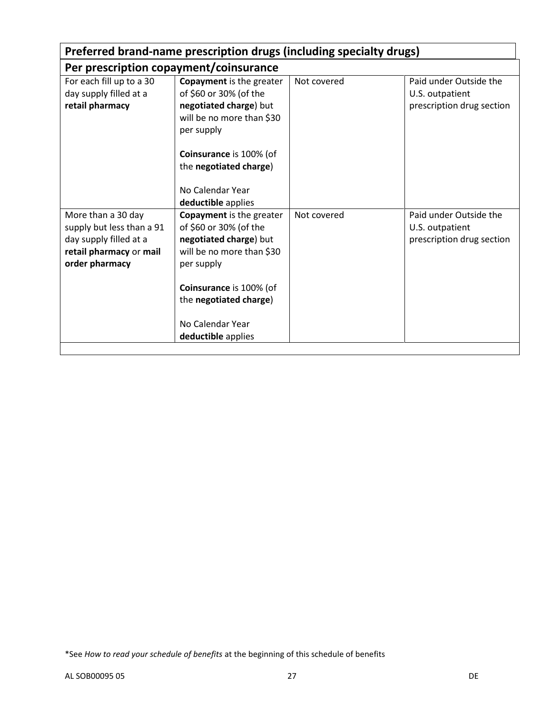| Preferred brand-name prescription drugs (including specialty drugs)                                                    |                                                                                                                                                                                                                               |             |                                                                        |  |
|------------------------------------------------------------------------------------------------------------------------|-------------------------------------------------------------------------------------------------------------------------------------------------------------------------------------------------------------------------------|-------------|------------------------------------------------------------------------|--|
| Per prescription copayment/coinsurance                                                                                 |                                                                                                                                                                                                                               |             |                                                                        |  |
| For each fill up to a 30<br>day supply filled at a<br>retail pharmacy                                                  | <b>Copayment</b> is the greater<br>of \$60 or 30% (of the<br>negotiated charge) but<br>will be no more than \$30<br>per supply                                                                                                | Not covered | Paid under Outside the<br>U.S. outpatient<br>prescription drug section |  |
|                                                                                                                        | Coinsurance is 100% (of<br>the negotiated charge)<br>No Calendar Year<br>deductible applies                                                                                                                                   |             |                                                                        |  |
| More than a 30 day<br>supply but less than a 91<br>day supply filled at a<br>retail pharmacy or mail<br>order pharmacy | <b>Copayment</b> is the greater<br>of \$60 or 30% (of the<br>negotiated charge) but<br>will be no more than \$30<br>per supply<br>Coinsurance is 100% (of<br>the negotiated charge)<br>No Calendar Year<br>deductible applies | Not covered | Paid under Outside the<br>U.S. outpatient<br>prescription drug section |  |

<sup>\*</sup>See *How to read your schedule of benefits* at the beginning of this schedule of benefits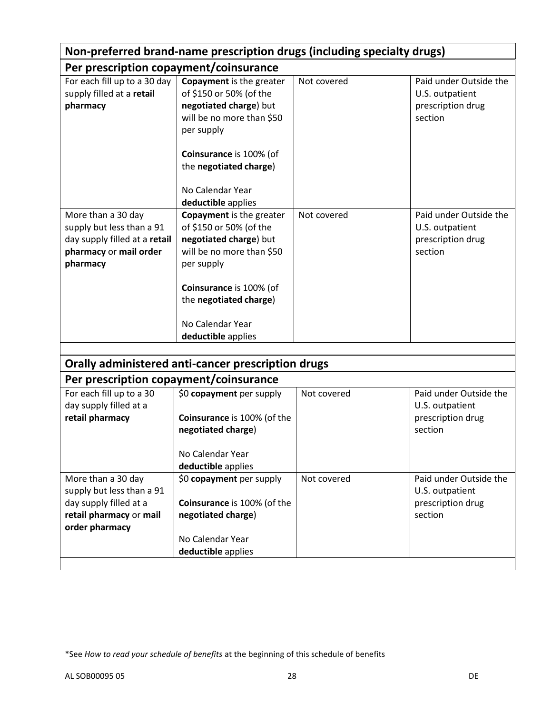| Non-preferred brand-name prescription drugs (including specialty drugs)                                                |                                                                                                                                                                                                                                                      |             |                                                                           |
|------------------------------------------------------------------------------------------------------------------------|------------------------------------------------------------------------------------------------------------------------------------------------------------------------------------------------------------------------------------------------------|-------------|---------------------------------------------------------------------------|
| Per prescription copayment/coinsurance                                                                                 |                                                                                                                                                                                                                                                      |             |                                                                           |
| For each fill up to a 30 day<br>supply filled at a retail<br>pharmacy                                                  | <b>Copayment</b> is the greater<br>of \$150 or 50% (of the<br>negotiated charge) but<br>will be no more than \$50<br>per supply<br>Coinsurance is 100% (of<br>the negotiated charge)<br>No Calendar Year                                             | Not covered | Paid under Outside the<br>U.S. outpatient<br>prescription drug<br>section |
| More than a 30 day<br>supply but less than a 91<br>day supply filled at a retail<br>pharmacy or mail order<br>pharmacy | deductible applies<br><b>Copayment</b> is the greater<br>of \$150 or 50% (of the<br>negotiated charge) but<br>will be no more than \$50<br>per supply<br>Coinsurance is 100% (of<br>the negotiated charge)<br>No Calendar Year<br>deductible applies | Not covered | Paid under Outside the<br>U.S. outpatient<br>prescription drug<br>section |
|                                                                                                                        |                                                                                                                                                                                                                                                      |             |                                                                           |
|                                                                                                                        | Orally administered anti-cancer prescription drugs                                                                                                                                                                                                   |             |                                                                           |
| Per prescription copayment/coinsurance                                                                                 |                                                                                                                                                                                                                                                      |             |                                                                           |
| For each fill up to a 30<br>day supply filled at a<br>retail pharmacy                                                  | \$0 copayment per supply<br>Coinsurance is 100% (of the<br>negotiated charge)<br>No Calendar Year<br>deductible applies                                                                                                                              | Not covered | Paid under Outside the<br>U.S. outpatient<br>prescription drug<br>section |
| More than a 30 day<br>supply but less than a 91<br>day supply filled at a<br>retail pharmacy or mail<br>order pharmacy | \$0 copayment per supply<br>Coinsurance is 100% (of the<br>negotiated charge)<br>No Calendar Year<br>deductible applies                                                                                                                              | Not covered | Paid under Outside the<br>U.S. outpatient<br>prescription drug<br>section |

<sup>\*</sup>See *How to read your schedule of benefits* at the beginning of this schedule of benefits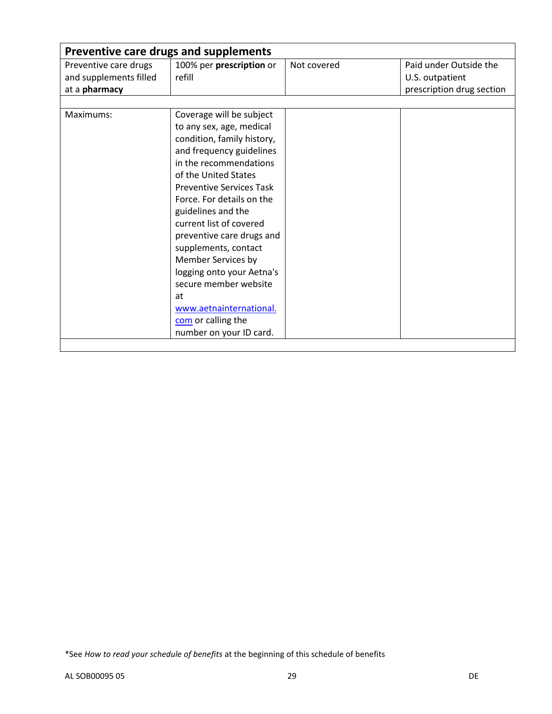| Preventive care drugs and supplements           |                                                                                                                                                                                                                                                                                                                                                                                                                         |             |                                           |
|-------------------------------------------------|-------------------------------------------------------------------------------------------------------------------------------------------------------------------------------------------------------------------------------------------------------------------------------------------------------------------------------------------------------------------------------------------------------------------------|-------------|-------------------------------------------|
| Preventive care drugs<br>and supplements filled | 100% per prescription or<br>refill                                                                                                                                                                                                                                                                                                                                                                                      | Not covered | Paid under Outside the<br>U.S. outpatient |
| at a pharmacy                                   |                                                                                                                                                                                                                                                                                                                                                                                                                         |             | prescription drug section                 |
|                                                 |                                                                                                                                                                                                                                                                                                                                                                                                                         |             |                                           |
| Maximums:                                       | Coverage will be subject                                                                                                                                                                                                                                                                                                                                                                                                |             |                                           |
|                                                 | to any sex, age, medical<br>condition, family history,<br>and frequency guidelines<br>in the recommendations<br>of the United States<br><b>Preventive Services Task</b><br>Force. For details on the<br>guidelines and the<br>current list of covered<br>preventive care drugs and<br>supplements, contact<br>Member Services by<br>logging onto your Aetna's<br>secure member website<br>at<br>www.aetnainternational. |             |                                           |
|                                                 | com or calling the                                                                                                                                                                                                                                                                                                                                                                                                      |             |                                           |
|                                                 | number on your ID card.                                                                                                                                                                                                                                                                                                                                                                                                 |             |                                           |
|                                                 |                                                                                                                                                                                                                                                                                                                                                                                                                         |             |                                           |

<sup>\*</sup>See *How to read your schedule of benefits* at the beginning of this schedule of benefits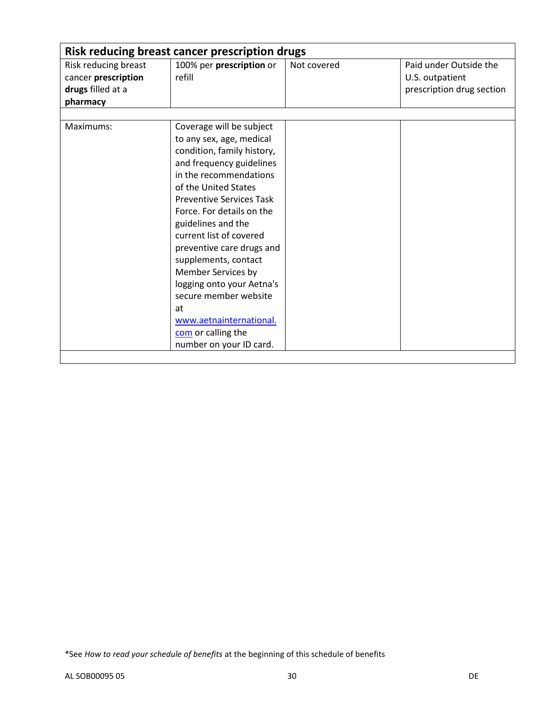| Risk reducing breast cancer prescription drugs |                                                                                                                                                                                                                                                                                                                                                                                                                                                                                                      |             |                           |  |
|------------------------------------------------|------------------------------------------------------------------------------------------------------------------------------------------------------------------------------------------------------------------------------------------------------------------------------------------------------------------------------------------------------------------------------------------------------------------------------------------------------------------------------------------------------|-------------|---------------------------|--|
| Risk reducing breast                           | 100% per prescription or<br>refill                                                                                                                                                                                                                                                                                                                                                                                                                                                                   | Not covered | Paid under Outside the    |  |
| cancer prescription                            |                                                                                                                                                                                                                                                                                                                                                                                                                                                                                                      |             | U.S. outpatient           |  |
| drugs filled at a                              |                                                                                                                                                                                                                                                                                                                                                                                                                                                                                                      |             | prescription drug section |  |
| pharmacy                                       |                                                                                                                                                                                                                                                                                                                                                                                                                                                                                                      |             |                           |  |
| Maximums:                                      | Coverage will be subject<br>to any sex, age, medical<br>condition, family history,<br>and frequency guidelines<br>in the recommendations<br>of the United States<br><b>Preventive Services Task</b><br>Force. For details on the<br>guidelines and the<br>current list of covered<br>preventive care drugs and<br>supplements, contact<br>Member Services by<br>logging onto your Aetna's<br>secure member website<br>at<br>www.aetnainternational.<br>com or calling the<br>number on your ID card. |             |                           |  |

<sup>\*</sup>See *How to read your schedule of benefits* at the beginning of this schedule of benefits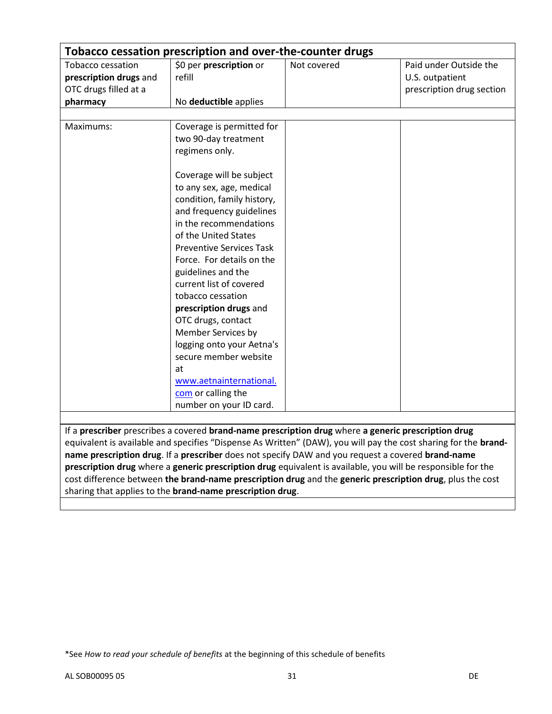| Tobacco cessation prescription and over-the-counter drugs                                                    |                                                                                                     |             |                                                                                                                 |  |  |
|--------------------------------------------------------------------------------------------------------------|-----------------------------------------------------------------------------------------------------|-------------|-----------------------------------------------------------------------------------------------------------------|--|--|
| Tobacco cessation                                                                                            | \$0 per prescription or                                                                             | Not covered | Paid under Outside the                                                                                          |  |  |
| prescription drugs and                                                                                       | refill                                                                                              |             | U.S. outpatient                                                                                                 |  |  |
| OTC drugs filled at a                                                                                        |                                                                                                     |             | prescription drug section                                                                                       |  |  |
| pharmacy                                                                                                     | No deductible applies                                                                               |             |                                                                                                                 |  |  |
| Maximums:                                                                                                    | Coverage is permitted for                                                                           |             |                                                                                                                 |  |  |
|                                                                                                              | two 90-day treatment                                                                                |             |                                                                                                                 |  |  |
|                                                                                                              | regimens only.                                                                                      |             |                                                                                                                 |  |  |
|                                                                                                              |                                                                                                     |             |                                                                                                                 |  |  |
|                                                                                                              | Coverage will be subject                                                                            |             |                                                                                                                 |  |  |
|                                                                                                              | to any sex, age, medical                                                                            |             |                                                                                                                 |  |  |
|                                                                                                              | condition, family history,                                                                          |             |                                                                                                                 |  |  |
|                                                                                                              | and frequency guidelines                                                                            |             |                                                                                                                 |  |  |
|                                                                                                              | in the recommendations                                                                              |             |                                                                                                                 |  |  |
|                                                                                                              | of the United States                                                                                |             |                                                                                                                 |  |  |
|                                                                                                              | <b>Preventive Services Task</b>                                                                     |             |                                                                                                                 |  |  |
|                                                                                                              | Force. For details on the                                                                           |             |                                                                                                                 |  |  |
|                                                                                                              | guidelines and the                                                                                  |             |                                                                                                                 |  |  |
|                                                                                                              | current list of covered                                                                             |             |                                                                                                                 |  |  |
|                                                                                                              | tobacco cessation                                                                                   |             |                                                                                                                 |  |  |
|                                                                                                              | prescription drugs and                                                                              |             |                                                                                                                 |  |  |
|                                                                                                              | OTC drugs, contact                                                                                  |             |                                                                                                                 |  |  |
|                                                                                                              | Member Services by                                                                                  |             |                                                                                                                 |  |  |
|                                                                                                              | logging onto your Aetna's                                                                           |             |                                                                                                                 |  |  |
|                                                                                                              | secure member website                                                                               |             |                                                                                                                 |  |  |
|                                                                                                              | at                                                                                                  |             |                                                                                                                 |  |  |
|                                                                                                              | www.aetnainternational.                                                                             |             |                                                                                                                 |  |  |
|                                                                                                              | com or calling the                                                                                  |             |                                                                                                                 |  |  |
|                                                                                                              | number on your ID card.                                                                             |             |                                                                                                                 |  |  |
|                                                                                                              |                                                                                                     |             |                                                                                                                 |  |  |
|                                                                                                              | If a prescriber prescribes a covered brand-name prescription drug where a generic prescription drug |             |                                                                                                                 |  |  |
|                                                                                                              |                                                                                                     |             | equivalent is available and specifies "Dispense As Written" (DAW), you will pay the cost sharing for the brand- |  |  |
| name prescription drug. If a prescriber does not specify DAW and you request a covered brand-name            |                                                                                                     |             |                                                                                                                 |  |  |
| prescription drug where a generic prescription drug equivalent is available, you will be responsible for the |                                                                                                     |             |                                                                                                                 |  |  |
| cost difference between the brand-name prescription drug and the generic prescription drug, plus the cost    |                                                                                                     |             |                                                                                                                 |  |  |

sharing that applies to the **brand-name prescription drug**.

<sup>\*</sup>See *How to read your schedule of benefits* at the beginning of this schedule of benefits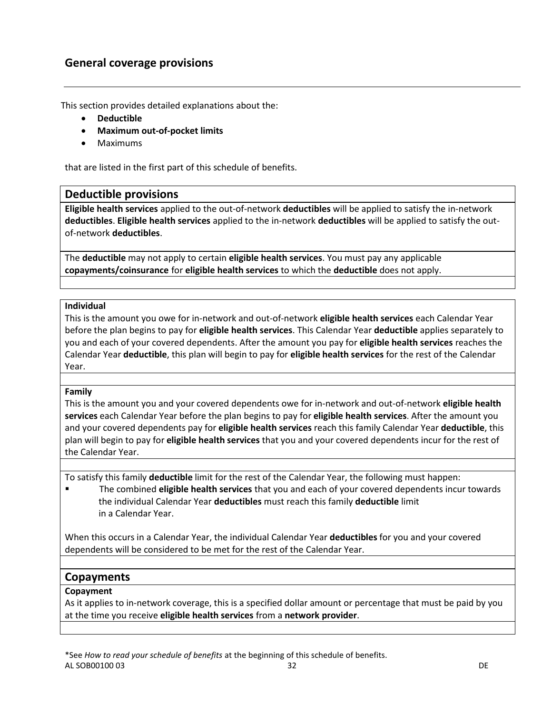## **General coverage provisions**

This section provides detailed explanations about the:

- **Deductible**
- **Maximum out-of-pocket limits**
- Maximums

that are listed in the first part of this schedule of benefits.

### **Deductible provisions**

**Eligible health services** applied to the out-of-network **deductibles** will be applied to satisfy the in-network **deductibles**. **Eligible health services** applied to the in-network **deductibles** will be applied to satisfy the outof-network **deductibles**.

The **deductible** may not apply to certain **eligible health services**. You must pay any applicable **copayments/coinsurance** for **eligible health services** to which the **deductible** does not apply.

#### **Individual**

This is the amount you owe for in-network and out-of-network **eligible health services** each Calendar Year before the plan begins to pay for **eligible health services**. This Calendar Year **deductible** applies separately to you and each of your covered dependents. After the amount you pay for **eligible health services** reaches the Calendar Year **deductible**, this plan will begin to pay for **eligible health services** for the rest of the Calendar Year.

#### **Family**

This is the amount you and your covered dependents owe for in-network and out-of-network **eligible health services** each Calendar Year before the plan begins to pay for **eligible health services**. After the amount you and your covered dependents pay for **eligible health services** reach this family Calendar Year **deductible**, this plan will begin to pay for **eligible health services** that you and your covered dependents incur for the rest of the Calendar Year.

To satisfy this family **deductible** limit for the rest of the Calendar Year, the following must happen: The combined **eligible health services** that you and each of your covered dependents incur towards the individual Calendar Year **deductibles** must reach this family **deductible** limit in a Calendar Year.

When this occurs in a Calendar Year, the individual Calendar Year **deductibles** for you and your covered dependents will be considered to be met for the rest of the Calendar Year.

### **Copayments**

#### **Copayment**

As it applies to in-network coverage, this is a specified dollar amount or percentage that must be paid by you at the time you receive **eligible health services** from a **network provider**.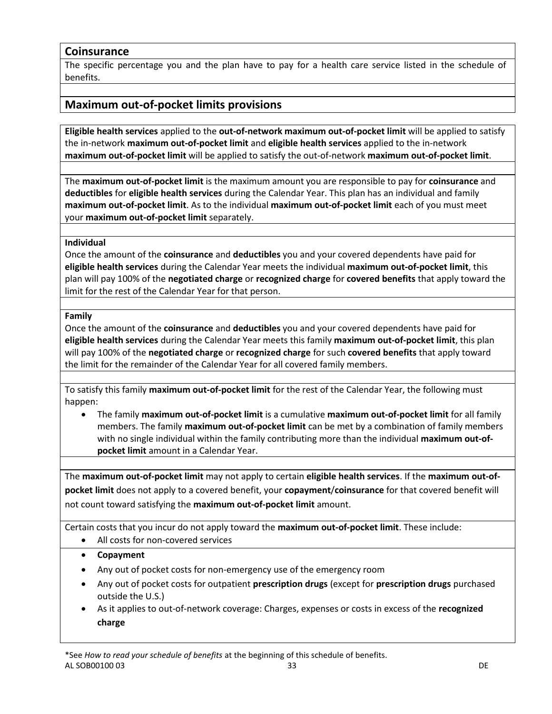### **Coinsurance**

The specific percentage you and the plan have to pay for a health care service listed in the schedule of benefits.

## **Maximum out-of-pocket limits provisions**

**Eligible health services** applied to the **out-of-network maximum out-of-pocket limit** will be applied to satisfy the in-network **maximum out-of-pocket limit** and **eligible health services** applied to the in-network **maximum out-of-pocket limit** will be applied to satisfy the out-of-network **maximum out-of-pocket limit**.

The **maximum out-of-pocket limit** is the maximum amount you are responsible to pay for **coinsurance** and **deductibles** for **eligible health services** during the Calendar Year. This plan has an individual and family **maximum out-of-pocket limit**. As to the individual **maximum out-of-pocket limit** each of you must meet your **maximum out-of-pocket limit** separately.

#### **Individual**

Once the amount of the **coinsurance** and **deductibles** you and your covered dependents have paid for **eligible health services** during the Calendar Year meets the individual **maximum out-of-pocket limit**, this plan will pay 100% of the **negotiated charge** or **recognized charge** for **covered benefits** that apply toward the limit for the rest of the Calendar Year for that person.

#### **Family**

Once the amount of the **coinsurance** and **deductibles** you and your covered dependents have paid for **eligible health services** during the Calendar Year meets this family **maximum out-of-pocket limit**, this plan will pay 100% of the **negotiated charge** or **recognized charge** for such **covered benefits** that apply toward the limit for the remainder of the Calendar Year for all covered family members.

To satisfy this family **maximum out-of-pocket limit** for the rest of the Calendar Year, the following must happen:

 The family **maximum out-of-pocket limit** is a cumulative **maximum out-of-pocket limit** for all family members. The family **maximum out-of-pocket limit** can be met by a combination of family members with no single individual within the family contributing more than the individual **maximum out-ofpocket limit** amount in a Calendar Year.

The **maximum out-of-pocket limit** may not apply to certain **eligible health services**. If the **maximum out-ofpocket limit** does not apply to a covered benefit, your **copayment**/**coinsurance** for that covered benefit will not count toward satisfying the **maximum out-of-pocket limit** amount.

Certain costs that you incur do not apply toward the **maximum out-of-pocket limit**. These include:

- All costs for non-covered services
- **Copayment**
- Any out of pocket costs for non-emergency use of the emergency room
- Any out of pocket costs for outpatient **prescription drugs** (except for **prescription drugs** purchased outside the U.S.)
- As it applies to out-of-network coverage: Charges, expenses or costs in excess of the **recognized charge**